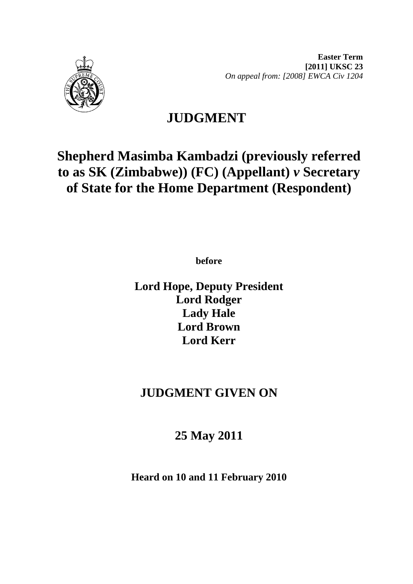



# **JUDGMENT**

# **Shepherd Masimba Kambadzi (previously referred to as SK (Zimbabwe)) (FC) (Appellant)** *v* **Secretary of State for the Home Department (Respondent)**

**before** 

**Lord Hope, Deputy President Lord Rodger Lady Hale Lord Brown Lord Kerr**

# **JUDGMENT GIVEN ON**

# **25 May 2011**

**Heard on 10 and 11 February 2010**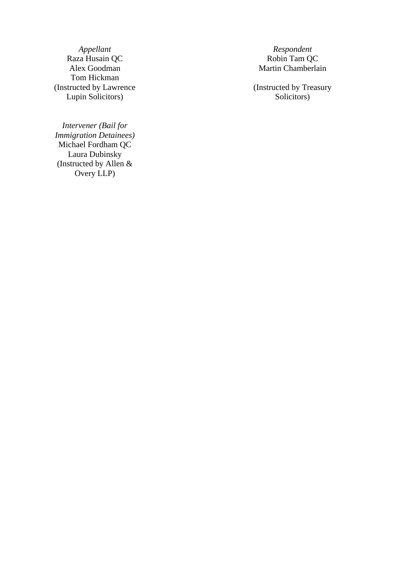Raza Husain QC Alex Goodman Tom Hickman (Instructed by Lawrence Lupin Solicitors)

*Intervener (Bail for Immigration Detainees)*  Michael Fordham QC Laura Dubinsky (Instructed by Allen & Overy LLP)

*Appellant* Respondent Respondent Respondent Respondent Respondent Respondent Respondent Respondent Respondent Respondent Respondent Respondent Respondent Respondent Respondent Respondent Respondent Respondent Respondent Martin Chamberlain

> (Instructed by Treasury Solicitors)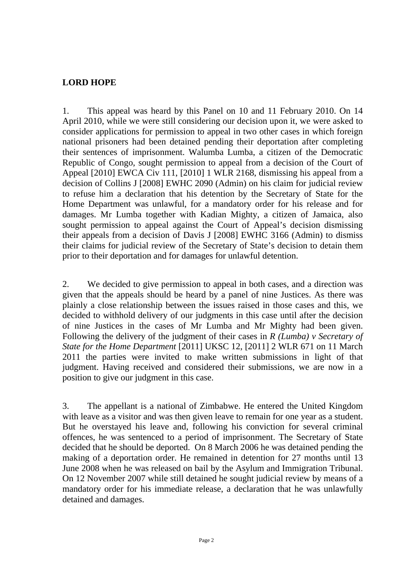## **LORD HOPE**

1. This appeal was heard by this Panel on 10 and 11 February 2010. On 14 April 2010, while we were still considering our decision upon it, we were asked to consider applications for permission to appeal in two other cases in which foreign national prisoners had been detained pending their deportation after completing their sentences of imprisonment. Walumba Lumba, a citizen of the Democratic Republic of Congo, sought permission to appeal from a decision of the Court of Appeal [2010] EWCA Civ 111, [2010] 1 WLR 2168, dismissing his appeal from a decision of Collins J [2008] EWHC 2090 (Admin) on his claim for judicial review to refuse him a declaration that his detention by the Secretary of State for the Home Department was unlawful, for a mandatory order for his release and for damages. Mr Lumba together with Kadian Mighty, a citizen of Jamaica, also sought permission to appeal against the Court of Appeal's decision dismissing their appeals from a decision of Davis J [2008] EWHC 3166 (Admin) to dismiss their claims for judicial review of the Secretary of State's decision to detain them prior to their deportation and for damages for unlawful detention.

2. We decided to give permission to appeal in both cases, and a direction was given that the appeals should be heard by a panel of nine Justices. As there was plainly a close relationship between the issues raised in those cases and this, we decided to withhold delivery of our judgments in this case until after the decision of nine Justices in the cases of Mr Lumba and Mr Mighty had been given. Following the delivery of the judgment of their cases in *R (Lumba) v Secretary of State for the Home Department* [2011] UKSC 12, [2011] 2 WLR 671 on 11 March 2011 the parties were invited to make written submissions in light of that judgment. Having received and considered their submissions, we are now in a position to give our judgment in this case.

3. The appellant is a national of Zimbabwe. He entered the United Kingdom with leave as a visitor and was then given leave to remain for one year as a student. But he overstayed his leave and, following his conviction for several criminal offences, he was sentenced to a period of imprisonment. The Secretary of State decided that he should be deported. On 8 March 2006 he was detained pending the making of a deportation order. He remained in detention for 27 months until 13 June 2008 when he was released on bail by the Asylum and Immigration Tribunal. On 12 November 2007 while still detained he sought judicial review by means of a mandatory order for his immediate release, a declaration that he was unlawfully detained and damages.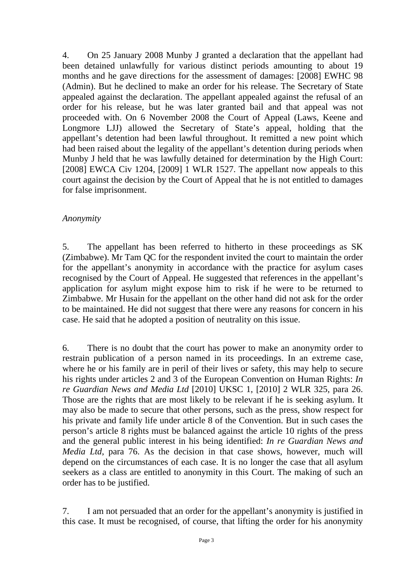4. On 25 January 2008 Munby J granted a declaration that the appellant had been detained unlawfully for various distinct periods amounting to about 19 months and he gave directions for the assessment of damages: [2008] EWHC 98 (Admin). But he declined to make an order for his release. The Secretary of State appealed against the declaration. The appellant appealed against the refusal of an order for his release, but he was later granted bail and that appeal was not proceeded with. On 6 November 2008 the Court of Appeal (Laws, Keene and Longmore LJJ) allowed the Secretary of State's appeal, holding that the appellant's detention had been lawful throughout. It remitted a new point which had been raised about the legality of the appellant's detention during periods when Munby J held that he was lawfully detained for determination by the High Court: [2008] EWCA Civ 1204, [2009] 1 WLR 1527. The appellant now appeals to this court against the decision by the Court of Appeal that he is not entitled to damages for false imprisonment.

### *Anonymity*

5. The appellant has been referred to hitherto in these proceedings as SK (Zimbabwe). Mr Tam QC for the respondent invited the court to maintain the order for the appellant's anonymity in accordance with the practice for asylum cases recognised by the Court of Appeal. He suggested that references in the appellant's application for asylum might expose him to risk if he were to be returned to Zimbabwe. Mr Husain for the appellant on the other hand did not ask for the order to be maintained. He did not suggest that there were any reasons for concern in his case. He said that he adopted a position of neutrality on this issue.

6. There is no doubt that the court has power to make an anonymity order to restrain publication of a person named in its proceedings. In an extreme case, where he or his family are in peril of their lives or safety, this may help to secure his rights under articles 2 and 3 of the European Convention on Human Rights: *In re Guardian News and Media Ltd* [2010] UKSC 1, [2010] 2 WLR 325, para 26. Those are the rights that are most likely to be relevant if he is seeking asylum. It may also be made to secure that other persons, such as the press, show respect for his private and family life under article 8 of the Convention. But in such cases the person's article 8 rights must be balanced against the article 10 rights of the press and the general public interest in his being identified: *In re Guardian News and Media Ltd*, para 76. As the decision in that case shows, however, much will depend on the circumstances of each case. It is no longer the case that all asylum seekers as a class are entitled to anonymity in this Court. The making of such an order has to be justified.

7. I am not persuaded that an order for the appellant's anonymity is justified in this case. It must be recognised, of course, that lifting the order for his anonymity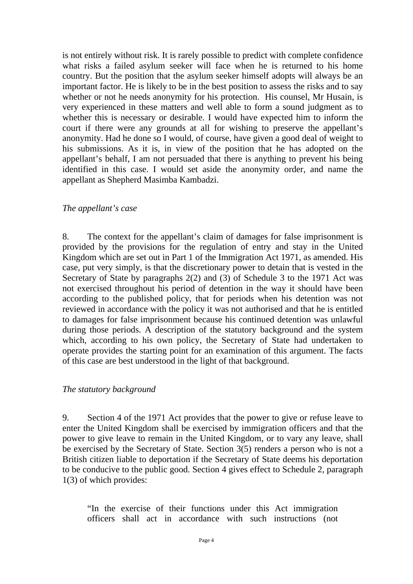is not entirely without risk. It is rarely possible to predict with complete confidence what risks a failed asylum seeker will face when he is returned to his home country. But the position that the asylum seeker himself adopts will always be an important factor. He is likely to be in the best position to assess the risks and to say whether or not he needs anonymity for his protection. His counsel, Mr Husain, is very experienced in these matters and well able to form a sound judgment as to whether this is necessary or desirable. I would have expected him to inform the court if there were any grounds at all for wishing to preserve the appellant's anonymity. Had he done so I would, of course, have given a good deal of weight to his submissions. As it is, in view of the position that he has adopted on the appellant's behalf, I am not persuaded that there is anything to prevent his being identified in this case. I would set aside the anonymity order, and name the appellant as Shepherd Masimba Kambadzi.

#### *The appellant's case*

8. The context for the appellant's claim of damages for false imprisonment is provided by the provisions for the regulation of entry and stay in the United Kingdom which are set out in Part 1 of the Immigration Act 1971, as amended. His case, put very simply, is that the discretionary power to detain that is vested in the Secretary of State by paragraphs 2(2) and (3) of Schedule 3 to the 1971 Act was not exercised throughout his period of detention in the way it should have been according to the published policy, that for periods when his detention was not reviewed in accordance with the policy it was not authorised and that he is entitled to damages for false imprisonment because his continued detention was unlawful during those periods. A description of the statutory background and the system which, according to his own policy, the Secretary of State had undertaken to operate provides the starting point for an examination of this argument. The facts of this case are best understood in the light of that background.

#### *The statutory background*

9. Section 4 of the 1971 Act provides that the power to give or refuse leave to enter the United Kingdom shall be exercised by immigration officers and that the power to give leave to remain in the United Kingdom, or to vary any leave, shall be exercised by the Secretary of State. Section 3(5) renders a person who is not a British citizen liable to deportation if the Secretary of State deems his deportation to be conducive to the public good. Section 4 gives effect to Schedule 2, paragraph 1(3) of which provides:

"In the exercise of their functions under this Act immigration officers shall act in accordance with such instructions (not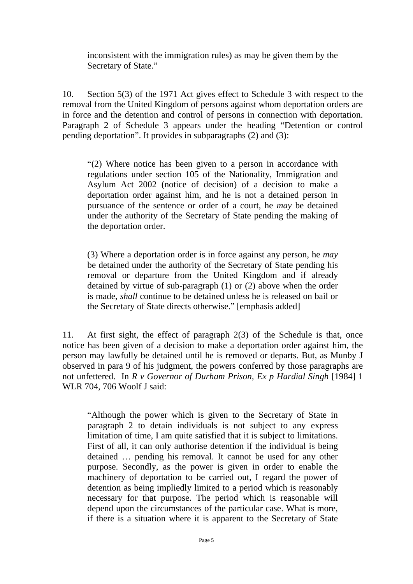inconsistent with the immigration rules) as may be given them by the Secretary of State."

10. Section 5(3) of the 1971 Act gives effect to Schedule 3 with respect to the removal from the United Kingdom of persons against whom deportation orders are in force and the detention and control of persons in connection with deportation. Paragraph 2 of Schedule 3 appears under the heading "Detention or control pending deportation". It provides in subparagraphs (2) and (3):

"(2) Where notice has been given to a person in accordance with regulations under section 105 of the Nationality, Immigration and Asylum Act 2002 (notice of decision) of a decision to make a deportation order against him, and he is not a detained person in pursuance of the sentence or order of a court, he *may* be detained under the authority of the Secretary of State pending the making of the deportation order.

(3) Where a deportation order is in force against any person, he *may* be detained under the authority of the Secretary of State pending his removal or departure from the United Kingdom and if already detained by virtue of sub-paragraph (1) or (2) above when the order is made, *shall* continue to be detained unless he is released on bail or the Secretary of State directs otherwise." [emphasis added]

11. At first sight, the effect of paragraph 2(3) of the Schedule is that, once notice has been given of a decision to make a deportation order against him, the person may lawfully be detained until he is removed or departs. But, as Munby J observed in para 9 of his judgment, the powers conferred by those paragraphs are not unfettered. In *R v Governor of Durham Prison, Ex p Hardial Singh* [1984] 1 WLR 704, 706 Woolf J said:

"Although the power which is given to the Secretary of State in paragraph 2 to detain individuals is not subject to any express limitation of time, I am quite satisfied that it is subject to limitations. First of all, it can only authorise detention if the individual is being detained … pending his removal. It cannot be used for any other purpose. Secondly, as the power is given in order to enable the machinery of deportation to be carried out, I regard the power of detention as being impliedly limited to a period which is reasonably necessary for that purpose. The period which is reasonable will depend upon the circumstances of the particular case. What is more, if there is a situation where it is apparent to the Secretary of State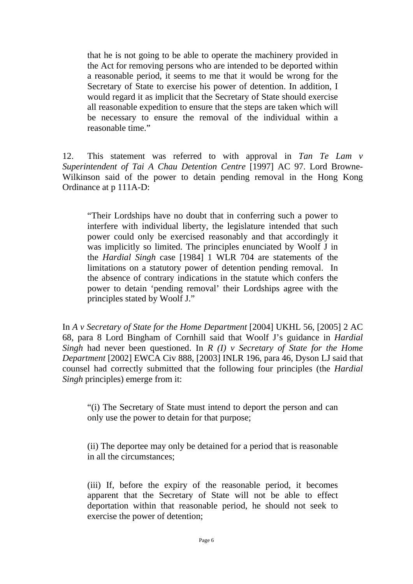that he is not going to be able to operate the machinery provided in the Act for removing persons who are intended to be deported within a reasonable period, it seems to me that it would be wrong for the Secretary of State to exercise his power of detention. In addition, I would regard it as implicit that the Secretary of State should exercise all reasonable expedition to ensure that the steps are taken which will be necessary to ensure the removal of the individual within a reasonable time."

12. This statement was referred to with approval in *Tan Te Lam v Superintendent of Tai A Chau Detention Centre* [1997] AC 97. Lord Browne-Wilkinson said of the power to detain pending removal in the Hong Kong Ordinance at p 111A-D:

"Their Lordships have no doubt that in conferring such a power to interfere with individual liberty, the legislature intended that such power could only be exercised reasonably and that accordingly it was implicitly so limited. The principles enunciated by Woolf J in the *Hardial Singh* case [1984] 1 WLR 704 are statements of the limitations on a statutory power of detention pending removal. In the absence of contrary indications in the statute which confers the power to detain 'pending removal' their Lordships agree with the principles stated by Woolf J."

In *A v Secretary of State for the Home Department* [2004] UKHL 56, [2005] 2 AC 68, para 8 Lord Bingham of Cornhill said that Woolf J's guidance in *Hardial Singh* had never been questioned. In *R (I) v Secretary of State for the Home Department* [2002] EWCA Civ 888, [2003] INLR 196, para 46, Dyson LJ said that counsel had correctly submitted that the following four principles (the *Hardial Singh* principles) emerge from it:

"(i) The Secretary of State must intend to deport the person and can only use the power to detain for that purpose;

(ii) The deportee may only be detained for a period that is reasonable in all the circumstances;

(iii) If, before the expiry of the reasonable period, it becomes apparent that the Secretary of State will not be able to effect deportation within that reasonable period, he should not seek to exercise the power of detention;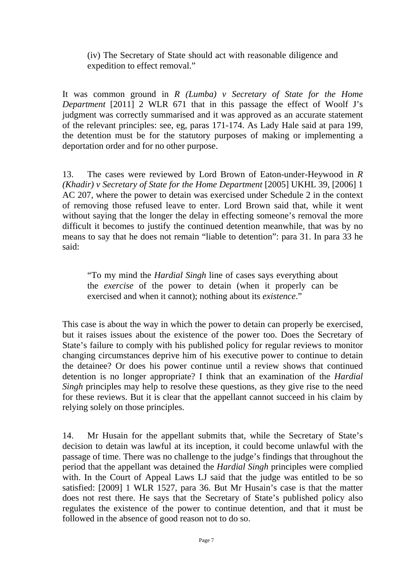### (iv) The Secretary of State should act with reasonable diligence and expedition to effect removal."

It was common ground in *R (Lumba) v Secretary of State for the Home Department* [2011] 2 WLR 671 that in this passage the effect of Woolf J's judgment was correctly summarised and it was approved as an accurate statement of the relevant principles: see, eg, paras 171-174. As Lady Hale said at para 199, the detention must be for the statutory purposes of making or implementing a deportation order and for no other purpose.

13. The cases were reviewed by Lord Brown of Eaton-under-Heywood in *R (Khadir) v Secretary of State for the Home Department* [2005] UKHL 39, [2006] 1 AC 207, where the power to detain was exercised under Schedule 2 in the context of removing those refused leave to enter. Lord Brown said that, while it went without saying that the longer the delay in effecting someone's removal the more difficult it becomes to justify the continued detention meanwhile, that was by no means to say that he does not remain "liable to detention": para 31. In para 33 he said:

"To my mind the *Hardial Singh* line of cases says everything about the *exercise* of the power to detain (when it properly can be exercised and when it cannot); nothing about its *existence*."

This case is about the way in which the power to detain can properly be exercised, but it raises issues about the existence of the power too. Does the Secretary of State's failure to comply with his published policy for regular reviews to monitor changing circumstances deprive him of his executive power to continue to detain the detainee? Or does his power continue until a review shows that continued detention is no longer appropriate? I think that an examination of the *Hardial Singh* principles may help to resolve these questions, as they give rise to the need for these reviews. But it is clear that the appellant cannot succeed in his claim by relying solely on those principles.

14. Mr Husain for the appellant submits that, while the Secretary of State's decision to detain was lawful at its inception, it could become unlawful with the passage of time. There was no challenge to the judge's findings that throughout the period that the appellant was detained the *Hardial Singh* principles were complied with. In the Court of Appeal Laws LJ said that the judge was entitled to be so satisfied: [2009] 1 WLR 1527, para 36. But Mr Husain's case is that the matter does not rest there. He says that the Secretary of State's published policy also regulates the existence of the power to continue detention, and that it must be followed in the absence of good reason not to do so.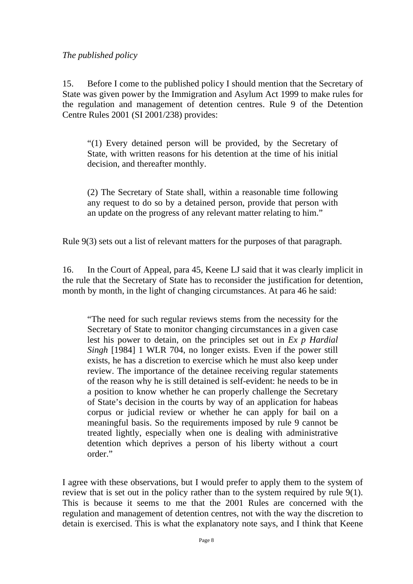*The published policy* 

15. Before I come to the published policy I should mention that the Secretary of State was given power by the Immigration and Asylum Act 1999 to make rules for the regulation and management of detention centres. Rule 9 of the Detention Centre Rules 2001 (SI 2001/238) provides:

"(1) Every detained person will be provided, by the Secretary of State, with written reasons for his detention at the time of his initial decision, and thereafter monthly.

(2) The Secretary of State shall, within a reasonable time following any request to do so by a detained person, provide that person with an update on the progress of any relevant matter relating to him."

Rule 9(3) sets out a list of relevant matters for the purposes of that paragraph.

16. In the Court of Appeal, para 45, Keene LJ said that it was clearly implicit in the rule that the Secretary of State has to reconsider the justification for detention, month by month, in the light of changing circumstances. At para 46 he said:

"The need for such regular reviews stems from the necessity for the Secretary of State to monitor changing circumstances in a given case lest his power to detain, on the principles set out in *Ex p Hardial Singh* [1984] 1 WLR 704, no longer exists. Even if the power still exists, he has a discretion to exercise which he must also keep under review. The importance of the detainee receiving regular statements of the reason why he is still detained is self-evident: he needs to be in a position to know whether he can properly challenge the Secretary of State's decision in the courts by way of an application for habeas corpus or judicial review or whether he can apply for bail on a meaningful basis. So the requirements imposed by rule 9 cannot be treated lightly, especially when one is dealing with administrative detention which deprives a person of his liberty without a court order."

I agree with these observations, but I would prefer to apply them to the system of review that is set out in the policy rather than to the system required by rule 9(1). This is because it seems to me that the 2001 Rules are concerned with the regulation and management of detention centres, not with the way the discretion to detain is exercised. This is what the explanatory note says, and I think that Keene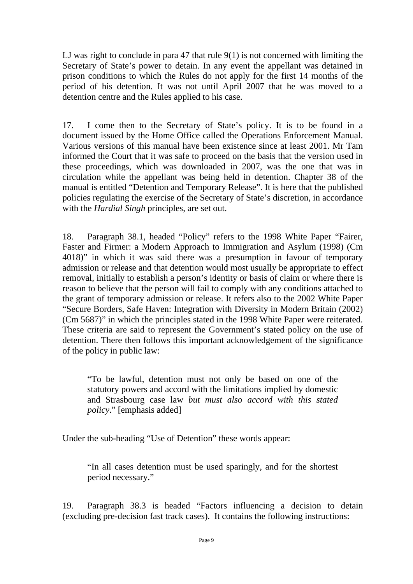LJ was right to conclude in para 47 that rule  $9(1)$  is not concerned with limiting the Secretary of State's power to detain. In any event the appellant was detained in prison conditions to which the Rules do not apply for the first 14 months of the period of his detention. It was not until April 2007 that he was moved to a detention centre and the Rules applied to his case.

17. I come then to the Secretary of State's policy. It is to be found in a document issued by the Home Office called the Operations Enforcement Manual. Various versions of this manual have been existence since at least 2001. Mr Tam informed the Court that it was safe to proceed on the basis that the version used in these proceedings, which was downloaded in 2007, was the one that was in circulation while the appellant was being held in detention. Chapter 38 of the manual is entitled "Detention and Temporary Release". It is here that the published policies regulating the exercise of the Secretary of State's discretion, in accordance with the *Hardial Singh* principles, are set out.

18. Paragraph 38.1, headed "Policy" refers to the 1998 White Paper "Fairer, Faster and Firmer: a Modern Approach to Immigration and Asylum (1998) (Cm 4018)" in which it was said there was a presumption in favour of temporary admission or release and that detention would most usually be appropriate to effect removal, initially to establish a person's identity or basis of claim or where there is reason to believe that the person will fail to comply with any conditions attached to the grant of temporary admission or release. It refers also to the 2002 White Paper "Secure Borders, Safe Haven: Integration with Diversity in Modern Britain (2002) (Cm 5687)" in which the principles stated in the 1998 White Paper were reiterated. These criteria are said to represent the Government's stated policy on the use of detention. There then follows this important acknowledgement of the significance of the policy in public law:

"To be lawful, detention must not only be based on one of the statutory powers and accord with the limitations implied by domestic and Strasbourg case law *but must also accord with this stated policy*." [emphasis added]

Under the sub-heading "Use of Detention" these words appear:

"In all cases detention must be used sparingly, and for the shortest period necessary."

19. Paragraph 38.3 is headed "Factors influencing a decision to detain (excluding pre-decision fast track cases). It contains the following instructions: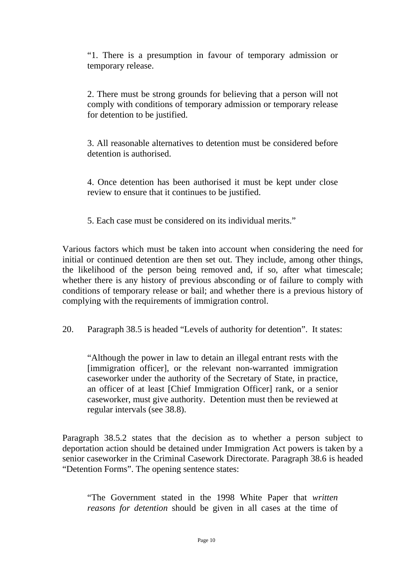"1. There is a presumption in favour of temporary admission or temporary release.

2. There must be strong grounds for believing that a person will not comply with conditions of temporary admission or temporary release for detention to be justified.

3. All reasonable alternatives to detention must be considered before detention is authorised.

4. Once detention has been authorised it must be kept under close review to ensure that it continues to be justified.

5. Each case must be considered on its individual merits."

Various factors which must be taken into account when considering the need for initial or continued detention are then set out. They include, among other things, the likelihood of the person being removed and, if so, after what timescale; whether there is any history of previous absconding or of failure to comply with conditions of temporary release or bail; and whether there is a previous history of complying with the requirements of immigration control.

20. Paragraph 38.5 is headed "Levels of authority for detention". It states:

"Although the power in law to detain an illegal entrant rests with the [immigration officer], or the relevant non-warranted immigration caseworker under the authority of the Secretary of State, in practice, an officer of at least [Chief Immigration Officer] rank, or a senior caseworker, must give authority. Detention must then be reviewed at regular intervals (see 38.8).

Paragraph 38.5.2 states that the decision as to whether a person subject to deportation action should be detained under Immigration Act powers is taken by a senior caseworker in the Criminal Casework Directorate. Paragraph 38.6 is headed "Detention Forms". The opening sentence states:

"The Government stated in the 1998 White Paper that *written reasons for detention* should be given in all cases at the time of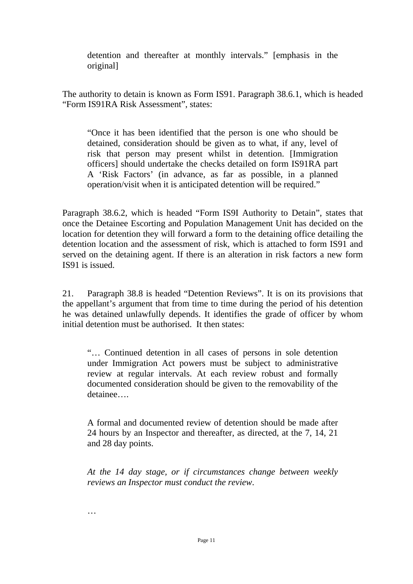detention and thereafter at monthly intervals." [emphasis in the original]

The authority to detain is known as Form IS91. Paragraph 38.6.1, which is headed "Form IS91RA Risk Assessment", states:

"Once it has been identified that the person is one who should be detained, consideration should be given as to what, if any, level of risk that person may present whilst in detention. [Immigration officers] should undertake the checks detailed on form IS91RA part A 'Risk Factors' (in advance, as far as possible, in a planned operation/visit when it is anticipated detention will be required."

Paragraph 38.6.2, which is headed "Form IS9I Authority to Detain", states that once the Detainee Escorting and Population Management Unit has decided on the location for detention they will forward a form to the detaining office detailing the detention location and the assessment of risk, which is attached to form IS91 and served on the detaining agent. If there is an alteration in risk factors a new form IS91 is issued.

21. Paragraph 38.8 is headed "Detention Reviews". It is on its provisions that the appellant's argument that from time to time during the period of his detention he was detained unlawfully depends. It identifies the grade of officer by whom initial detention must be authorised. It then states:

"… Continued detention in all cases of persons in sole detention under Immigration Act powers must be subject to administrative review at regular intervals. At each review robust and formally documented consideration should be given to the removability of the detainee….

A formal and documented review of detention should be made after 24 hours by an Inspector and thereafter, as directed, at the 7, 14, 21 and 28 day points.

*At the 14 day stage, or if circumstances change between weekly reviews an Inspector must conduct the review*.

…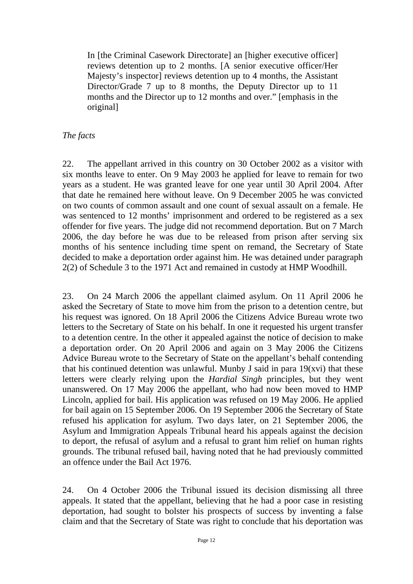In [the Criminal Casework Directorate] an [higher executive officer] reviews detention up to 2 months. [A senior executive officer/Her Majesty's inspector] reviews detention up to 4 months, the Assistant Director/Grade 7 up to 8 months, the Deputy Director up to 11 months and the Director up to 12 months and over." [emphasis in the original]

# *The facts*

22. The appellant arrived in this country on 30 October 2002 as a visitor with six months leave to enter. On 9 May 2003 he applied for leave to remain for two years as a student. He was granted leave for one year until 30 April 2004. After that date he remained here without leave. On 9 December 2005 he was convicted on two counts of common assault and one count of sexual assault on a female. He was sentenced to 12 months' imprisonment and ordered to be registered as a sex offender for five years. The judge did not recommend deportation. But on 7 March 2006, the day before he was due to be released from prison after serving six months of his sentence including time spent on remand, the Secretary of State decided to make a deportation order against him. He was detained under paragraph 2(2) of Schedule 3 to the 1971 Act and remained in custody at HMP Woodhill.

23. On 24 March 2006 the appellant claimed asylum. On 11 April 2006 he asked the Secretary of State to move him from the prison to a detention centre, but his request was ignored. On 18 April 2006 the Citizens Advice Bureau wrote two letters to the Secretary of State on his behalf. In one it requested his urgent transfer to a detention centre. In the other it appealed against the notice of decision to make a deportation order. On 20 April 2006 and again on 3 May 2006 the Citizens Advice Bureau wrote to the Secretary of State on the appellant's behalf contending that his continued detention was unlawful. Munby J said in para 19(xvi) that these letters were clearly relying upon the *Hardial Singh* principles, but they went unanswered. On 17 May 2006 the appellant, who had now been moved to HMP Lincoln, applied for bail. His application was refused on 19 May 2006. He applied for bail again on 15 September 2006. On 19 September 2006 the Secretary of State refused his application for asylum. Two days later, on 21 September 2006, the Asylum and Immigration Appeals Tribunal heard his appeals against the decision to deport, the refusal of asylum and a refusal to grant him relief on human rights grounds. The tribunal refused bail, having noted that he had previously committed an offence under the Bail Act 1976.

24. On 4 October 2006 the Tribunal issued its decision dismissing all three appeals. It stated that the appellant, believing that he had a poor case in resisting deportation, had sought to bolster his prospects of success by inventing a false claim and that the Secretary of State was right to conclude that his deportation was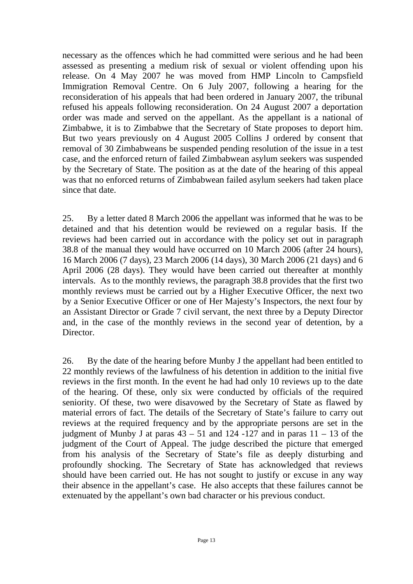necessary as the offences which he had committed were serious and he had been assessed as presenting a medium risk of sexual or violent offending upon his release. On 4 May 2007 he was moved from HMP Lincoln to Campsfield Immigration Removal Centre. On 6 July 2007, following a hearing for the reconsideration of his appeals that had been ordered in January 2007, the tribunal refused his appeals following reconsideration. On 24 August 2007 a deportation order was made and served on the appellant. As the appellant is a national of Zimbabwe, it is to Zimbabwe that the Secretary of State proposes to deport him. But two years previously on 4 August 2005 Collins J ordered by consent that removal of 30 Zimbabweans be suspended pending resolution of the issue in a test case, and the enforced return of failed Zimbabwean asylum seekers was suspended by the Secretary of State. The position as at the date of the hearing of this appeal was that no enforced returns of Zimbabwean failed asylum seekers had taken place since that date.

25. By a letter dated 8 March 2006 the appellant was informed that he was to be detained and that his detention would be reviewed on a regular basis. If the reviews had been carried out in accordance with the policy set out in paragraph 38.8 of the manual they would have occurred on 10 March 2006 (after 24 hours), 16 March 2006 (7 days), 23 March 2006 (14 days), 30 March 2006 (21 days) and 6 April 2006 (28 days). They would have been carried out thereafter at monthly intervals. As to the monthly reviews, the paragraph 38.8 provides that the first two monthly reviews must be carried out by a Higher Executive Officer, the next two by a Senior Executive Officer or one of Her Majesty's Inspectors, the next four by an Assistant Director or Grade 7 civil servant, the next three by a Deputy Director and, in the case of the monthly reviews in the second year of detention, by a Director.

26. By the date of the hearing before Munby J the appellant had been entitled to 22 monthly reviews of the lawfulness of his detention in addition to the initial five reviews in the first month. In the event he had had only 10 reviews up to the date of the hearing. Of these, only six were conducted by officials of the required seniority. Of these, two were disavowed by the Secretary of State as flawed by material errors of fact. The details of the Secretary of State's failure to carry out reviews at the required frequency and by the appropriate persons are set in the judgment of Munby J at paras  $43 - 51$  and  $124 - 127$  and in paras  $11 - 13$  of the judgment of the Court of Appeal. The judge described the picture that emerged from his analysis of the Secretary of State's file as deeply disturbing and profoundly shocking. The Secretary of State has acknowledged that reviews should have been carried out. He has not sought to justify or excuse in any way their absence in the appellant's case. He also accepts that these failures cannot be extenuated by the appellant's own bad character or his previous conduct.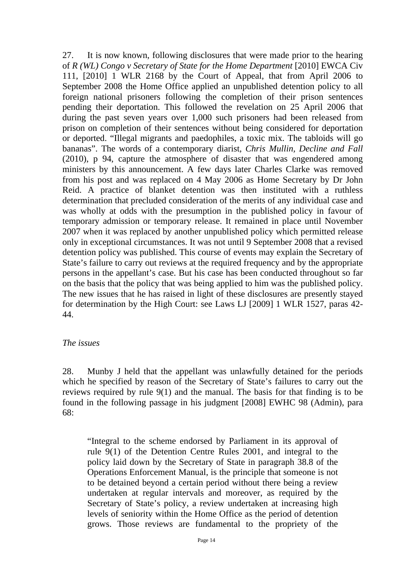27. It is now known, following disclosures that were made prior to the hearing of *R (WL) Congo v Secretary of State for the Home Department* [2010] EWCA Civ 111, [2010] 1 WLR 2168 by the Court of Appeal, that from April 2006 to September 2008 the Home Office applied an unpublished detention policy to all foreign national prisoners following the completion of their prison sentences pending their deportation. This followed the revelation on 25 April 2006 that during the past seven years over 1,000 such prisoners had been released from prison on completion of their sentences without being considered for deportation or deported. "Illegal migrants and paedophiles, a toxic mix. The tabloids will go bananas". The words of a contemporary diarist, *Chris Mullin, Decline and Fall*  (2010), p 94, capture the atmosphere of disaster that was engendered among ministers by this announcement. A few days later Charles Clarke was removed from his post and was replaced on 4 May 2006 as Home Secretary by Dr John Reid. A practice of blanket detention was then instituted with a ruthless determination that precluded consideration of the merits of any individual case and was wholly at odds with the presumption in the published policy in favour of temporary admission or temporary release. It remained in place until November 2007 when it was replaced by another unpublished policy which permitted release only in exceptional circumstances. It was not until 9 September 2008 that a revised detention policy was published. This course of events may explain the Secretary of State's failure to carry out reviews at the required frequency and by the appropriate persons in the appellant's case. But his case has been conducted throughout so far on the basis that the policy that was being applied to him was the published policy. The new issues that he has raised in light of these disclosures are presently stayed for determination by the High Court: see Laws LJ [2009] 1 WLR 1527, paras 42- 44.

#### *The issues*

28. Munby J held that the appellant was unlawfully detained for the periods which he specified by reason of the Secretary of State's failures to carry out the reviews required by rule 9(1) and the manual. The basis for that finding is to be found in the following passage in his judgment [2008] EWHC 98 (Admin), para 68:

"Integral to the scheme endorsed by Parliament in its approval of rule 9(1) of the Detention Centre Rules 2001, and integral to the policy laid down by the Secretary of State in paragraph 38.8 of the Operations Enforcement Manual, is the principle that someone is not to be detained beyond a certain period without there being a review undertaken at regular intervals and moreover, as required by the Secretary of State's policy, a review undertaken at increasing high levels of seniority within the Home Office as the period of detention grows. Those reviews are fundamental to the propriety of the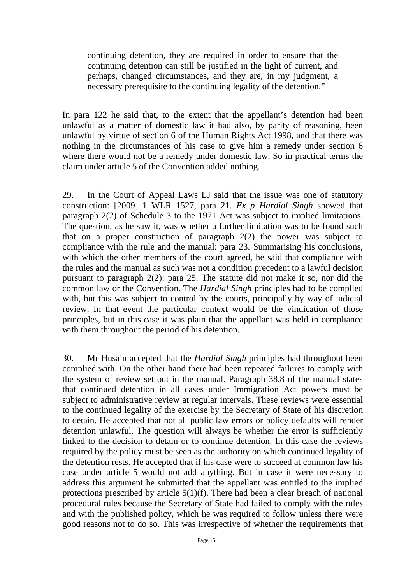continuing detention, they are required in order to ensure that the continuing detention can still be justified in the light of current, and perhaps, changed circumstances, and they are, in my judgment, a necessary prerequisite to the continuing legality of the detention."

In para 122 he said that, to the extent that the appellant's detention had been unlawful as a matter of domestic law it had also, by parity of reasoning, been unlawful by virtue of section 6 of the Human Rights Act 1998, and that there was nothing in the circumstances of his case to give him a remedy under section 6 where there would not be a remedy under domestic law. So in practical terms the claim under article 5 of the Convention added nothing.

29. In the Court of Appeal Laws LJ said that the issue was one of statutory construction: [2009] 1 WLR 1527, para 21. *Ex p Hardial Singh* showed that paragraph 2(2) of Schedule 3 to the 1971 Act was subject to implied limitations. The question, as he saw it, was whether a further limitation was to be found such that on a proper construction of paragraph 2(2) the power was subject to compliance with the rule and the manual: para 23. Summarising his conclusions, with which the other members of the court agreed, he said that compliance with the rules and the manual as such was not a condition precedent to a lawful decision pursuant to paragraph 2(2): para 25. The statute did not make it so, nor did the common law or the Convention. The *Hardial Singh* principles had to be complied with, but this was subject to control by the courts, principally by way of judicial review. In that event the particular context would be the vindication of those principles, but in this case it was plain that the appellant was held in compliance with them throughout the period of his detention.

30. Mr Husain accepted that the *Hardial Singh* principles had throughout been complied with. On the other hand there had been repeated failures to comply with the system of review set out in the manual. Paragraph 38.8 of the manual states that continued detention in all cases under Immigration Act powers must be subject to administrative review at regular intervals. These reviews were essential to the continued legality of the exercise by the Secretary of State of his discretion to detain. He accepted that not all public law errors or policy defaults will render detention unlawful. The question will always be whether the error is sufficiently linked to the decision to detain or to continue detention. In this case the reviews required by the policy must be seen as the authority on which continued legality of the detention rests. He accepted that if his case were to succeed at common law his case under article 5 would not add anything. But in case it were necessary to address this argument he submitted that the appellant was entitled to the implied protections prescribed by article 5(1)(f). There had been a clear breach of national procedural rules because the Secretary of State had failed to comply with the rules and with the published policy, which he was required to follow unless there were good reasons not to do so. This was irrespective of whether the requirements that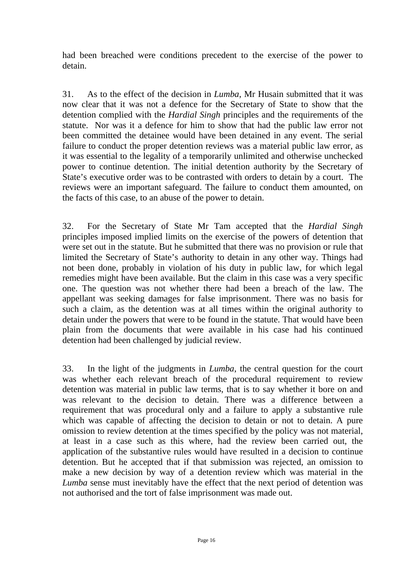had been breached were conditions precedent to the exercise of the power to detain.

31. As to the effect of the decision in *Lumba*, Mr Husain submitted that it was now clear that it was not a defence for the Secretary of State to show that the detention complied with the *Hardial Singh* principles and the requirements of the statute. Nor was it a defence for him to show that had the public law error not been committed the detainee would have been detained in any event. The serial failure to conduct the proper detention reviews was a material public law error, as it was essential to the legality of a temporarily unlimited and otherwise unchecked power to continue detention. The initial detention authority by the Secretary of State's executive order was to be contrasted with orders to detain by a court. The reviews were an important safeguard. The failure to conduct them amounted, on the facts of this case, to an abuse of the power to detain.

32. For the Secretary of State Mr Tam accepted that the *Hardial Singh*  principles imposed implied limits on the exercise of the powers of detention that were set out in the statute. But he submitted that there was no provision or rule that limited the Secretary of State's authority to detain in any other way. Things had not been done, probably in violation of his duty in public law, for which legal remedies might have been available. But the claim in this case was a very specific one. The question was not whether there had been a breach of the law. The appellant was seeking damages for false imprisonment. There was no basis for such a claim, as the detention was at all times within the original authority to detain under the powers that were to be found in the statute. That would have been plain from the documents that were available in his case had his continued detention had been challenged by judicial review.

33. In the light of the judgments in *Lumba*, the central question for the court was whether each relevant breach of the procedural requirement to review detention was material in public law terms, that is to say whether it bore on and was relevant to the decision to detain. There was a difference between a requirement that was procedural only and a failure to apply a substantive rule which was capable of affecting the decision to detain or not to detain. A pure omission to review detention at the times specified by the policy was not material, at least in a case such as this where, had the review been carried out, the application of the substantive rules would have resulted in a decision to continue detention. But he accepted that if that submission was rejected, an omission to make a new decision by way of a detention review which was material in the *Lumba* sense must inevitably have the effect that the next period of detention was not authorised and the tort of false imprisonment was made out.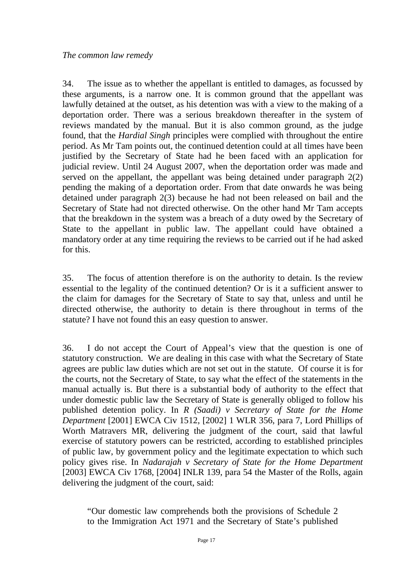34. The issue as to whether the appellant is entitled to damages, as focussed by these arguments, is a narrow one. It is common ground that the appellant was lawfully detained at the outset, as his detention was with a view to the making of a deportation order. There was a serious breakdown thereafter in the system of reviews mandated by the manual. But it is also common ground, as the judge found, that the *Hardial Singh* principles were complied with throughout the entire period. As Mr Tam points out, the continued detention could at all times have been justified by the Secretary of State had he been faced with an application for judicial review. Until 24 August 2007, when the deportation order was made and served on the appellant, the appellant was being detained under paragraph 2(2) pending the making of a deportation order. From that date onwards he was being detained under paragraph 2(3) because he had not been released on bail and the Secretary of State had not directed otherwise. On the other hand Mr Tam accepts that the breakdown in the system was a breach of a duty owed by the Secretary of State to the appellant in public law. The appellant could have obtained a mandatory order at any time requiring the reviews to be carried out if he had asked for this.

35. The focus of attention therefore is on the authority to detain. Is the review essential to the legality of the continued detention? Or is it a sufficient answer to the claim for damages for the Secretary of State to say that, unless and until he directed otherwise, the authority to detain is there throughout in terms of the statute? I have not found this an easy question to answer.

36. I do not accept the Court of Appeal's view that the question is one of statutory construction. We are dealing in this case with what the Secretary of State agrees are public law duties which are not set out in the statute. Of course it is for the courts, not the Secretary of State, to say what the effect of the statements in the manual actually is. But there is a substantial body of authority to the effect that under domestic public law the Secretary of State is generally obliged to follow his published detention policy. In *R (Saadi) v Secretary of State for the Home Department* [2001] EWCA Civ 1512, [2002] 1 WLR 356, para 7, Lord Phillips of Worth Matravers MR, delivering the judgment of the court, said that lawful exercise of statutory powers can be restricted, according to established principles of public law, by government policy and the legitimate expectation to which such policy gives rise. In *Nadarajah v Secretary of State for the Home Department* [2003] EWCA Civ 1768, [2004] INLR 139, para 54 the Master of the Rolls, again delivering the judgment of the court, said:

"Our domestic law comprehends both the provisions of Schedule 2 to the Immigration Act 1971 and the Secretary of State's published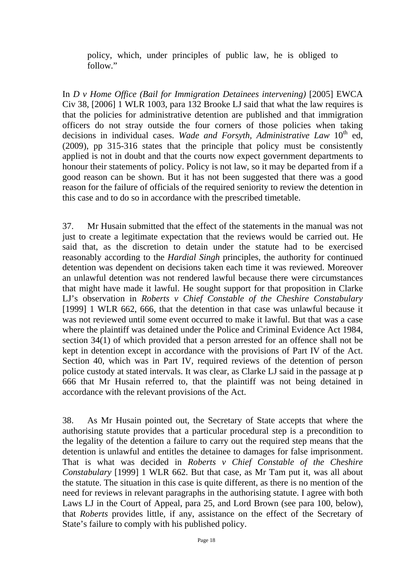policy, which, under principles of public law, he is obliged to follow."

In *D v Home Office (Bail for Immigration Detainees intervening)* [2005] EWCA Civ 38, [2006] 1 WLR 1003, para 132 Brooke LJ said that what the law requires is that the policies for administrative detention are published and that immigration officers do not stray outside the four corners of those policies when taking decisions in individual cases. Wade and Forsyth, Administrative Law 10<sup>th</sup> ed, (2009), pp 315-316 states that the principle that policy must be consistently applied is not in doubt and that the courts now expect government departments to honour their statements of policy. Policy is not law, so it may be departed from if a good reason can be shown. But it has not been suggested that there was a good reason for the failure of officials of the required seniority to review the detention in this case and to do so in accordance with the prescribed timetable.

37. Mr Husain submitted that the effect of the statements in the manual was not just to create a legitimate expectation that the reviews would be carried out. He said that, as the discretion to detain under the statute had to be exercised reasonably according to the *Hardial Singh* principles, the authority for continued detention was dependent on decisions taken each time it was reviewed. Moreover an unlawful detention was not rendered lawful because there were circumstances that might have made it lawful. He sought support for that proposition in Clarke LJ's observation in *Roberts v Chief Constable of the Cheshire Constabulary* [1999] 1 WLR 662, 666, that the detention in that case was unlawful because it was not reviewed until some event occurred to make it lawful. But that was a case where the plaintiff was detained under the Police and Criminal Evidence Act 1984, section 34(1) of which provided that a person arrested for an offence shall not be kept in detention except in accordance with the provisions of Part IV of the Act. Section 40, which was in Part IV, required reviews of the detention of person police custody at stated intervals. It was clear, as Clarke LJ said in the passage at p 666 that Mr Husain referred to, that the plaintiff was not being detained in accordance with the relevant provisions of the Act.

38. As Mr Husain pointed out, the Secretary of State accepts that where the authorising statute provides that a particular procedural step is a precondition to the legality of the detention a failure to carry out the required step means that the detention is unlawful and entitles the detainee to damages for false imprisonment. That is what was decided in *Roberts v Chief Constable of the Cheshire Constabulary* [1999] 1 WLR 662. But that case, as Mr Tam put it, was all about the statute. The situation in this case is quite different, as there is no mention of the need for reviews in relevant paragraphs in the authorising statute. I agree with both Laws LJ in the Court of Appeal, para 25, and Lord Brown (see para 100, below), that *Roberts* provides little, if any, assistance on the effect of the Secretary of State's failure to comply with his published policy.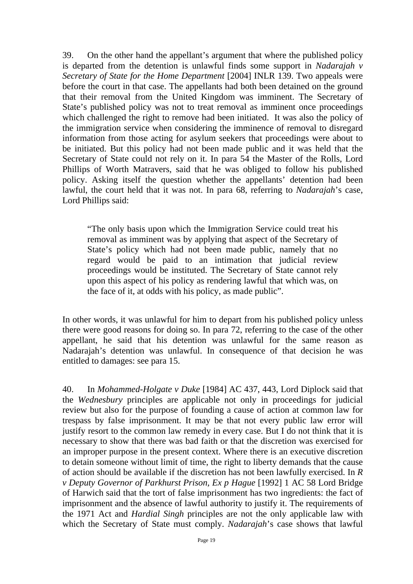39. On the other hand the appellant's argument that where the published policy is departed from the detention is unlawful finds some support in *Nadarajah v Secretary of State for the Home Department* [2004] INLR 139. Two appeals were before the court in that case. The appellants had both been detained on the ground that their removal from the United Kingdom was imminent. The Secretary of State's published policy was not to treat removal as imminent once proceedings which challenged the right to remove had been initiated. It was also the policy of the immigration service when considering the imminence of removal to disregard information from those acting for asylum seekers that proceedings were about to be initiated. But this policy had not been made public and it was held that the Secretary of State could not rely on it. In para 54 the Master of the Rolls, Lord Phillips of Worth Matravers, said that he was obliged to follow his published policy. Asking itself the question whether the appellants' detention had been lawful, the court held that it was not. In para 68, referring to *Nadarajah*'s case, Lord Phillips said:

"The only basis upon which the Immigration Service could treat his removal as imminent was by applying that aspect of the Secretary of State's policy which had not been made public, namely that no regard would be paid to an intimation that judicial review proceedings would be instituted. The Secretary of State cannot rely upon this aspect of his policy as rendering lawful that which was, on the face of it, at odds with his policy, as made public".

In other words, it was unlawful for him to depart from his published policy unless there were good reasons for doing so. In para 72, referring to the case of the other appellant, he said that his detention was unlawful for the same reason as Nadarajah's detention was unlawful. In consequence of that decision he was entitled to damages: see para 15.

40. In *Mohammed-Holgate v Duke* [1984] AC 437, 443, Lord Diplock said that the *Wednesbury* principles are applicable not only in proceedings for judicial review but also for the purpose of founding a cause of action at common law for trespass by false imprisonment. It may be that not every public law error will justify resort to the common law remedy in every case. But I do not think that it is necessary to show that there was bad faith or that the discretion was exercised for an improper purpose in the present context. Where there is an executive discretion to detain someone without limit of time, the right to liberty demands that the cause of action should be available if the discretion has not been lawfully exercised. In *R v Deputy Governor of Parkhurst Prison, Ex p Hague* [1992] 1 AC 58 Lord Bridge of Harwich said that the tort of false imprisonment has two ingredients: the fact of imprisonment and the absence of lawful authority to justify it. The requirements of the 1971 Act and *Hardial Singh* principles are not the only applicable law with which the Secretary of State must comply. *Nadarajah*'s case shows that lawful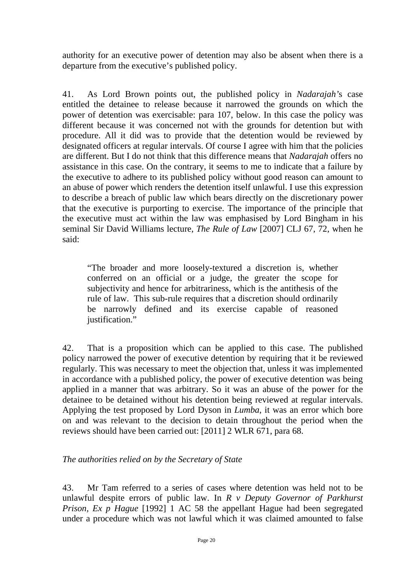authority for an executive power of detention may also be absent when there is a departure from the executive's published policy.

41. As Lord Brown points out, the published policy in *Nadarajah'*s case entitled the detainee to release because it narrowed the grounds on which the power of detention was exercisable: para 107, below. In this case the policy was different because it was concerned not with the grounds for detention but with procedure. All it did was to provide that the detention would be reviewed by designated officers at regular intervals. Of course I agree with him that the policies are different. But I do not think that this difference means that *Nadarajah* offers no assistance in this case. On the contrary, it seems to me to indicate that a failure by the executive to adhere to its published policy without good reason can amount to an abuse of power which renders the detention itself unlawful. I use this expression to describe a breach of public law which bears directly on the discretionary power that the executive is purporting to exercise. The importance of the principle that the executive must act within the law was emphasised by Lord Bingham in his seminal Sir David Williams lecture, *The Rule of Law* [2007] CLJ 67, 72, when he said:

"The broader and more loosely-textured a discretion is, whether conferred on an official or a judge, the greater the scope for subjectivity and hence for arbitrariness, which is the antithesis of the rule of law. This sub-rule requires that a discretion should ordinarily be narrowly defined and its exercise capable of reasoned justification."

42. That is a proposition which can be applied to this case. The published policy narrowed the power of executive detention by requiring that it be reviewed regularly. This was necessary to meet the objection that, unless it was implemented in accordance with a published policy, the power of executive detention was being applied in a manner that was arbitrary. So it was an abuse of the power for the detainee to be detained without his detention being reviewed at regular intervals. Applying the test proposed by Lord Dyson in *Lumba*, it was an error which bore on and was relevant to the decision to detain throughout the period when the reviews should have been carried out: [2011] 2 WLR 671, para 68.

## *The authorities relied on by the Secretary of State*

43. Mr Tam referred to a series of cases where detention was held not to be unlawful despite errors of public law. In *R v Deputy Governor of Parkhurst Prison, Ex p Hague* [1992] 1 AC 58 the appellant Hague had been segregated under a procedure which was not lawful which it was claimed amounted to false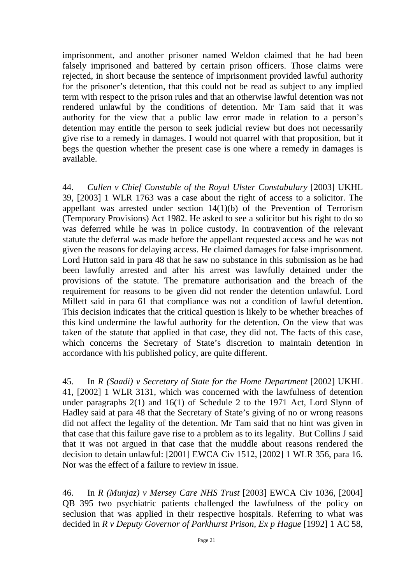imprisonment, and another prisoner named Weldon claimed that he had been falsely imprisoned and battered by certain prison officers. Those claims were rejected, in short because the sentence of imprisonment provided lawful authority for the prisoner's detention, that this could not be read as subject to any implied term with respect to the prison rules and that an otherwise lawful detention was not rendered unlawful by the conditions of detention. Mr Tam said that it was authority for the view that a public law error made in relation to a person's detention may entitle the person to seek judicial review but does not necessarily give rise to a remedy in damages. I would not quarrel with that proposition, but it begs the question whether the present case is one where a remedy in damages is available.

44. *Cullen v Chief Constable of the Royal Ulster Constabulary* [2003] UKHL 39, [2003] 1 WLR 1763 was a case about the right of access to a solicitor. The appellant was arrested under section 14(1)(b) of the Prevention of Terrorism (Temporary Provisions) Act 1982. He asked to see a solicitor but his right to do so was deferred while he was in police custody. In contravention of the relevant statute the deferral was made before the appellant requested access and he was not given the reasons for delaying access. He claimed damages for false imprisonment. Lord Hutton said in para 48 that he saw no substance in this submission as he had been lawfully arrested and after his arrest was lawfully detained under the provisions of the statute. The premature authorisation and the breach of the requirement for reasons to be given did not render the detention unlawful. Lord Millett said in para 61 that compliance was not a condition of lawful detention. This decision indicates that the critical question is likely to be whether breaches of this kind undermine the lawful authority for the detention. On the view that was taken of the statute that applied in that case, they did not. The facts of this case, which concerns the Secretary of State's discretion to maintain detention in accordance with his published policy, are quite different.

45. In *R (Saadi) v Secretary of State for the Home Department* [2002] UKHL 41, [2002] 1 WLR 3131, which was concerned with the lawfulness of detention under paragraphs 2(1) and 16(1) of Schedule 2 to the 1971 Act, Lord Slynn of Hadley said at para 48 that the Secretary of State's giving of no or wrong reasons did not affect the legality of the detention. Mr Tam said that no hint was given in that case that this failure gave rise to a problem as to its legality. But Collins J said that it was not argued in that case that the muddle about reasons rendered the decision to detain unlawful: [2001] EWCA Civ 1512, [2002] 1 WLR 356, para 16. Nor was the effect of a failure to review in issue.

46. In *R (Munjaz) v Mersey Care NHS Trust* [2003] EWCA Civ 1036, [2004] QB 395 two psychiatric patients challenged the lawfulness of the policy on seclusion that was applied in their respective hospitals. Referring to what was decided in *R v Deputy Governor of Parkhurst Prison, Ex p Hague* [1992] 1 AC 58,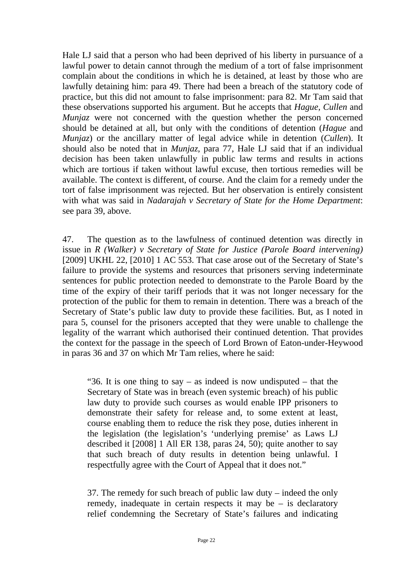Hale LJ said that a person who had been deprived of his liberty in pursuance of a lawful power to detain cannot through the medium of a tort of false imprisonment complain about the conditions in which he is detained, at least by those who are lawfully detaining him: para 49. There had been a breach of the statutory code of practice, but this did not amount to false imprisonment: para 82. Mr Tam said that these observations supported his argument. But he accepts that *Hague, Cullen* and *Munjaz*, were not concerned with the question whether the person concerned should be detained at all, but only with the conditions of detention (*Hague* and *Munjaz*) or the ancillary matter of legal advice while in detention (*Cullen*). It should also be noted that in *Munjaz*, para 77, Hale LJ said that if an individual decision has been taken unlawfully in public law terms and results in actions which are tortious if taken without lawful excuse, then tortious remedies will be available. The context is different, of course. And the claim for a remedy under the tort of false imprisonment was rejected. But her observation is entirely consistent with what was said in *Nadarajah v Secretary of State for the Home Department*: see para 39, above.

47. The question as to the lawfulness of continued detention was directly in issue in *R (Walker) v Secretary of State for Justice (Parole Board intervening)* [2009] UKHL 22, [2010] 1 AC 553. That case arose out of the Secretary of State's failure to provide the systems and resources that prisoners serving indeterminate sentences for public protection needed to demonstrate to the Parole Board by the time of the expiry of their tariff periods that it was not longer necessary for the protection of the public for them to remain in detention. There was a breach of the Secretary of State's public law duty to provide these facilities. But, as I noted in para 5, counsel for the prisoners accepted that they were unable to challenge the legality of the warrant which authorised their continued detention. That provides the context for the passage in the speech of Lord Brown of Eaton-under-Heywood in paras 36 and 37 on which Mr Tam relies, where he said:

"36. It is one thing to say – as indeed is now undisputed – that the Secretary of State was in breach (even systemic breach) of his public law duty to provide such courses as would enable IPP prisoners to demonstrate their safety for release and, to some extent at least, course enabling them to reduce the risk they pose, duties inherent in the legislation (the legislation's 'underlying premise' as Laws LJ described it [2008] 1 All ER 138, paras 24, 50); quite another to say that such breach of duty results in detention being unlawful. I respectfully agree with the Court of Appeal that it does not."

37. The remedy for such breach of public law duty – indeed the only remedy, inadequate in certain respects it may be – is declaratory relief condemning the Secretary of State's failures and indicating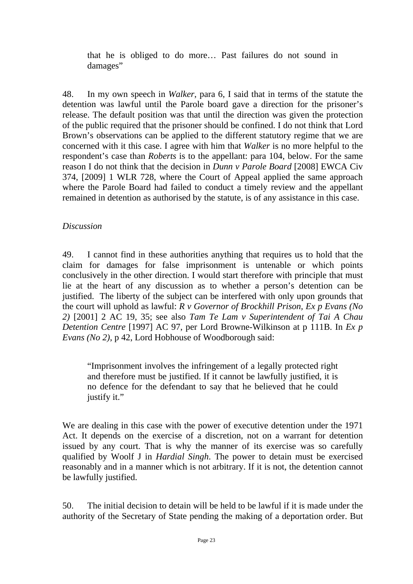that he is obliged to do more… Past failures do not sound in damages"

48. In my own speech in *Walker*, para 6, I said that in terms of the statute the detention was lawful until the Parole board gave a direction for the prisoner's release. The default position was that until the direction was given the protection of the public required that the prisoner should be confined. I do not think that Lord Brown's observations can be applied to the different statutory regime that we are concerned with it this case. I agree with him that *Walker* is no more helpful to the respondent's case than *Roberts* is to the appellant: para 104, below. For the same reason I do not think that the decision in *Dunn v Parole Board* [2008] EWCA Civ 374, [2009] 1 WLR 728, where the Court of Appeal applied the same approach where the Parole Board had failed to conduct a timely review and the appellant remained in detention as authorised by the statute, is of any assistance in this case.

# *Discussion*

49. I cannot find in these authorities anything that requires us to hold that the claim for damages for false imprisonment is untenable or which points conclusively in the other direction. I would start therefore with principle that must lie at the heart of any discussion as to whether a person's detention can be justified. The liberty of the subject can be interfered with only upon grounds that the court will uphold as lawful: *R v Governor of Brockhill Prison, Ex p Evans (No 2)* [2001] 2 AC 19, 35; see also *Tam Te Lam v Superintendent of Tai A Chau Detention Centre* [1997] AC 97, per Lord Browne-Wilkinson at p 111B. In *Ex p Evans (No 2)*, p 42, Lord Hobhouse of Woodborough said:

"Imprisonment involves the infringement of a legally protected right and therefore must be justified. If it cannot be lawfully justified, it is no defence for the defendant to say that he believed that he could justify it."

We are dealing in this case with the power of executive detention under the 1971 Act. It depends on the exercise of a discretion, not on a warrant for detention issued by any court. That is why the manner of its exercise was so carefully qualified by Woolf J in *Hardial Singh*. The power to detain must be exercised reasonably and in a manner which is not arbitrary. If it is not, the detention cannot be lawfully justified.

50. The initial decision to detain will be held to be lawful if it is made under the authority of the Secretary of State pending the making of a deportation order. But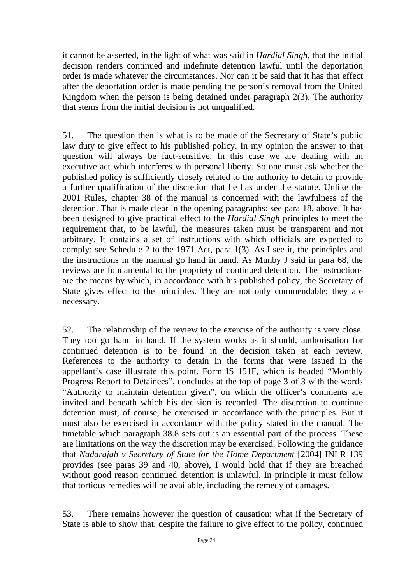it cannot be asserted, in the light of what was said in *Hardial Singh*, that the initial decision renders continued and indefinite detention lawful until the deportation order is made whatever the circumstances. Nor can it be said that it has that effect after the deportation order is made pending the person's removal from the United Kingdom when the person is being detained under paragraph 2(3). The authority that stems from the initial decision is not unqualified.

51. The question then is what is to be made of the Secretary of State's public law duty to give effect to his published policy. In my opinion the answer to that question will always be fact-sensitive. In this case we are dealing with an executive act which interferes with personal liberty. So one must ask whether the published policy is sufficiently closely related to the authority to detain to provide a further qualification of the discretion that he has under the statute. Unlike the 2001 Rules, chapter 38 of the manual is concerned with the lawfulness of the detention. That is made clear in the opening paragraphs: see para 18, above. It has been designed to give practical effect to the *Hardial Singh* principles to meet the requirement that, to be lawful, the measures taken must be transparent and not arbitrary. It contains a set of instructions with which officials are expected to comply: see Schedule 2 to the 1971 Act, para 1(3). As I see it, the principles and the instructions in the manual go hand in hand. As Munby J said in para 68, the reviews are fundamental to the propriety of continued detention. The instructions are the means by which, in accordance with his published policy, the Secretary of State gives effect to the principles. They are not only commendable; they are necessary.

52. The relationship of the review to the exercise of the authority is very close. They too go hand in hand. If the system works as it should, authorisation for continued detention is to be found in the decision taken at each review. References to the authority to detain in the forms that were issued in the appellant's case illustrate this point. Form IS 151F, which is headed "Monthly Progress Report to Detainees", concludes at the top of page 3 of 3 with the words "Authority to maintain detention given", on which the officer's comments are invited and beneath which his decision is recorded. The discretion to continue detention must, of course, be exercised in accordance with the principles. But it must also be exercised in accordance with the policy stated in the manual. The timetable which paragraph 38.8 sets out is an essential part of the process. These are limitations on the way the discretion may be exercised. Following the guidance that *Nadarajah v Secretary of State for the Home Department* [2004] INLR 139 provides (see paras 39 and 40, above), I would hold that if they are breached without good reason continued detention is unlawful. In principle it must follow that tortious remedies will be available, including the remedy of damages.

53. There remains however the question of causation: what if the Secretary of State is able to show that, despite the failure to give effect to the policy, continued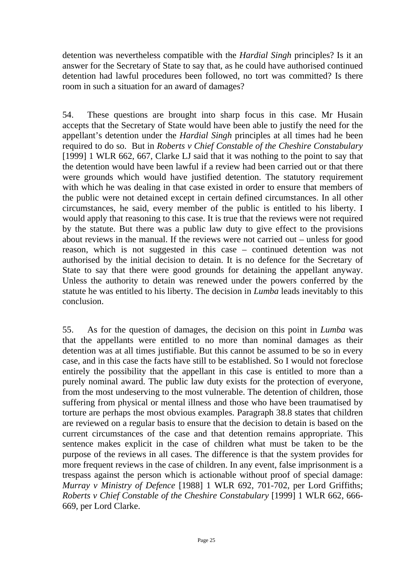detention was nevertheless compatible with the *Hardial Singh* principles? Is it an answer for the Secretary of State to say that, as he could have authorised continued detention had lawful procedures been followed, no tort was committed? Is there room in such a situation for an award of damages?

54. These questions are brought into sharp focus in this case. Mr Husain accepts that the Secretary of State would have been able to justify the need for the appellant's detention under the *Hardial Singh* principles at all times had he been required to do so. But in *Roberts v Chief Constable of the Cheshire Constabulary* [1999] 1 WLR 662, 667, Clarke LJ said that it was nothing to the point to say that the detention would have been lawful if a review had been carried out or that there were grounds which would have justified detention. The statutory requirement with which he was dealing in that case existed in order to ensure that members of the public were not detained except in certain defined circumstances. In all other circumstances, he said, every member of the public is entitled to his liberty. I would apply that reasoning to this case. It is true that the reviews were not required by the statute. But there was a public law duty to give effect to the provisions about reviews in the manual. If the reviews were not carried out – unless for good reason, which is not suggested in this case – continued detention was not authorised by the initial decision to detain. It is no defence for the Secretary of State to say that there were good grounds for detaining the appellant anyway. Unless the authority to detain was renewed under the powers conferred by the statute he was entitled to his liberty. The decision in *Lumba* leads inevitably to this conclusion.

55. As for the question of damages, the decision on this point in *Lumba* was that the appellants were entitled to no more than nominal damages as their detention was at all times justifiable. But this cannot be assumed to be so in every case, and in this case the facts have still to be established. So I would not foreclose entirely the possibility that the appellant in this case is entitled to more than a purely nominal award. The public law duty exists for the protection of everyone, from the most undeserving to the most vulnerable. The detention of children, those suffering from physical or mental illness and those who have been traumatised by torture are perhaps the most obvious examples. Paragraph 38.8 states that children are reviewed on a regular basis to ensure that the decision to detain is based on the current circumstances of the case and that detention remains appropriate. This sentence makes explicit in the case of children what must be taken to be the purpose of the reviews in all cases. The difference is that the system provides for more frequent reviews in the case of children. In any event, false imprisonment is a trespass against the person which is actionable without proof of special damage: *Murray v Ministry of Defence* [1988] 1 WLR 692, 701-702, per Lord Griffiths; *Roberts v Chief Constable of the Cheshire Constabulary* [1999] 1 WLR 662, 666- 669, per Lord Clarke.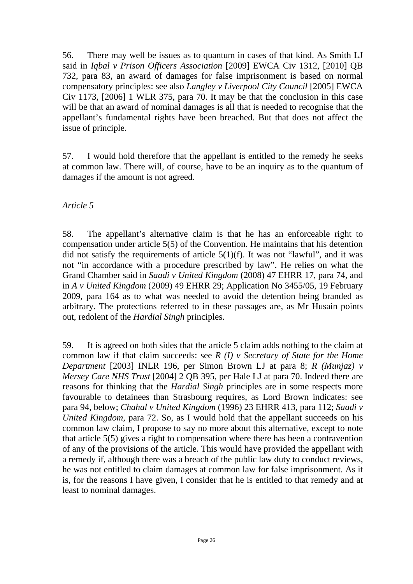56. There may well be issues as to quantum in cases of that kind. As Smith LJ said in *Iqbal v Prison Officers Association* [2009] EWCA Civ 1312, [2010] QB 732, para 83, an award of damages for false imprisonment is based on normal compensatory principles: see also *Langley v Liverpool City Council* [2005] EWCA Civ 1173, [2006] 1 WLR 375, para 70. It may be that the conclusion in this case will be that an award of nominal damages is all that is needed to recognise that the appellant's fundamental rights have been breached. But that does not affect the issue of principle.

57. I would hold therefore that the appellant is entitled to the remedy he seeks at common law. There will, of course, have to be an inquiry as to the quantum of damages if the amount is not agreed.

## *Article 5*

58. The appellant's alternative claim is that he has an enforceable right to compensation under article 5(5) of the Convention. He maintains that his detention did not satisfy the requirements of article  $5(1)(f)$ . It was not "lawful", and it was not "in accordance with a procedure prescribed by law". He relies on what the Grand Chamber said in *Saadi v United Kingdom* (2008) 47 EHRR 17, para 74, and in *A v United Kingdom* (2009) 49 EHRR 29; Application No 3455/05, 19 February 2009, para 164 as to what was needed to avoid the detention being branded as arbitrary. The protections referred to in these passages are, as Mr Husain points out, redolent of the *Hardial Singh* principles.

59. It is agreed on both sides that the article 5 claim adds nothing to the claim at common law if that claim succeeds: see *R (I) v Secretary of State for the Home Department* [2003] INLR 196, per Simon Brown LJ at para 8; *R (Munjaz) v Mersey Care NHS Trust* [2004] 2 QB 395, per Hale LJ at para 70. Indeed there are reasons for thinking that the *Hardial Singh* principles are in some respects more favourable to detainees than Strasbourg requires, as Lord Brown indicates: see para 94, below; *Chahal v United Kingdom* (1996) 23 EHRR 413, para 112; *Saadi v United Kingdom*, para 72. So, as I would hold that the appellant succeeds on his common law claim, I propose to say no more about this alternative, except to note that article 5(5) gives a right to compensation where there has been a contravention of any of the provisions of the article. This would have provided the appellant with a remedy if, although there was a breach of the public law duty to conduct reviews, he was not entitled to claim damages at common law for false imprisonment. As it is, for the reasons I have given, I consider that he is entitled to that remedy and at least to nominal damages.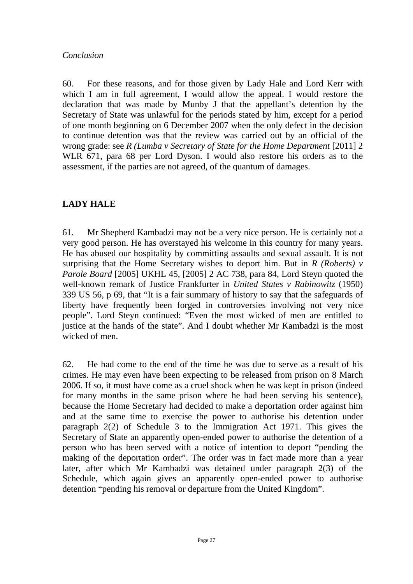### *Conclusion*

60. For these reasons, and for those given by Lady Hale and Lord Kerr with which I am in full agreement, I would allow the appeal. I would restore the declaration that was made by Munby J that the appellant's detention by the Secretary of State was unlawful for the periods stated by him, except for a period of one month beginning on 6 December 2007 when the only defect in the decision to continue detention was that the review was carried out by an official of the wrong grade: see *R* (*Lumba v Secretary of State for the Home Department* [2011] 2 WLR 671, para 68 per Lord Dyson. I would also restore his orders as to the assessment, if the parties are not agreed, of the quantum of damages.

# **LADY HALE**

61. Mr Shepherd Kambadzi may not be a very nice person. He is certainly not a very good person. He has overstayed his welcome in this country for many years. He has abused our hospitality by committing assaults and sexual assault. It is not surprising that the Home Secretary wishes to deport him. But in *R (Roberts) v Parole Board* [2005] UKHL 45, [2005] 2 AC 738, para 84, Lord Steyn quoted the well-known remark of Justice Frankfurter in *United States v Rabinowitz* (1950) 339 US 56, p 69, that "It is a fair summary of history to say that the safeguards of liberty have frequently been forged in controversies involving not very nice people". Lord Steyn continued: "Even the most wicked of men are entitled to justice at the hands of the state". And I doubt whether Mr Kambadzi is the most wicked of men.

62. He had come to the end of the time he was due to serve as a result of his crimes. He may even have been expecting to be released from prison on 8 March 2006. If so, it must have come as a cruel shock when he was kept in prison (indeed for many months in the same prison where he had been serving his sentence), because the Home Secretary had decided to make a deportation order against him and at the same time to exercise the power to authorise his detention under paragraph 2(2) of Schedule 3 to the Immigration Act 1971. This gives the Secretary of State an apparently open-ended power to authorise the detention of a person who has been served with a notice of intention to deport "pending the making of the deportation order". The order was in fact made more than a year later, after which Mr Kambadzi was detained under paragraph 2(3) of the Schedule, which again gives an apparently open-ended power to authorise detention "pending his removal or departure from the United Kingdom".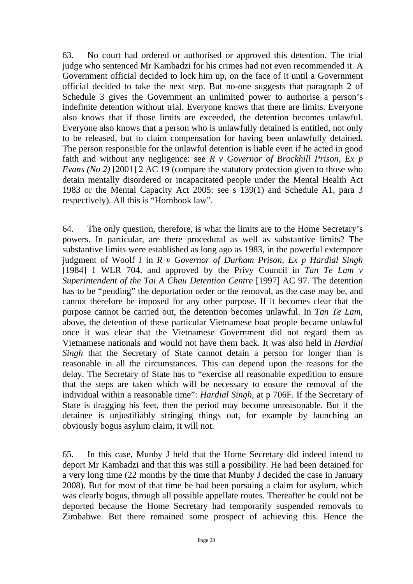63. No court had ordered or authorised or approved this detention. The trial judge who sentenced Mr Kambadzi for his crimes had not even recommended it. A Government official decided to lock him up, on the face of it until a Government official decided to take the next step. But no-one suggests that paragraph 2 of Schedule 3 gives the Government an unlimited power to authorise a person's indefinite detention without trial. Everyone knows that there are limits. Everyone also knows that if those limits are exceeded, the detention becomes unlawful. Everyone also knows that a person who is unlawfully detained is entitled, not only to be released, but to claim compensation for having been unlawfully detained. The person responsible for the unlawful detention is liable even if he acted in good faith and without any negligence: see *R v Governor of Brockhill Prison, Ex p Evans (No 2)* [2001] 2 AC 19 (compare the statutory protection given to those who detain mentally disordered or incapacitated people under the Mental Health Act 1983 or the Mental Capacity Act 2005: see s 139(1) and Schedule A1, para 3 respectively). All this is "Hornbook law".

64. The only question, therefore, is what the limits are to the Home Secretary's powers. In particular, are there procedural as well as substantive limits? The substantive limits were established as long ago as 1983, in the powerful extempore judgment of Woolf J in *R v Governor of Durham Prison, Ex p Hardial Singh*  [1984] 1 WLR 704, and approved by the Privy Council in *Tan Te Lam v Superintendent of the Tai A Chau Detention Centre* [1997] AC 97. The detention has to be "pending" the deportation order or the removal, as the case may be, and cannot therefore be imposed for any other purpose. If it becomes clear that the purpose cannot be carried out, the detention becomes unlawful. In *Tan Te Lam*, above, the detention of these particular Vietnamese boat people became unlawful once it was clear that the Vietnamese Government did not regard them as Vietnamese nationals and would not have them back. It was also held in *Hardial Singh* that the Secretary of State cannot detain a person for longer than is reasonable in all the circumstances. This can depend upon the reasons for the delay. The Secretary of State has to "exercise all reasonable expedition to ensure that the steps are taken which will be necessary to ensure the removal of the individual within a reasonable time": *Hardial Singh*, at p 706F. If the Secretary of State is dragging his feet, then the period may become unreasonable. But if the detainee is unjustifiably stringing things out, for example by launching an obviously bogus asylum claim, it will not.

65. In this case, Munby J held that the Home Secretary did indeed intend to deport Mr Kambadzi and that this was still a possibility. He had been detained for a very long time (22 months by the time that Munby J decided the case in January 2008). But for most of that time he had been pursuing a claim for asylum, which was clearly bogus, through all possible appellate routes. Thereafter he could not be deported because the Home Secretary had temporarily suspended removals to Zimbabwe. But there remained some prospect of achieving this. Hence the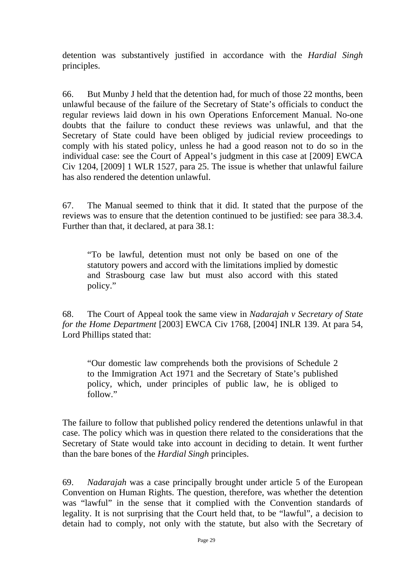detention was substantively justified in accordance with the *Hardial Singh* principles.

66. But Munby J held that the detention had, for much of those 22 months, been unlawful because of the failure of the Secretary of State's officials to conduct the regular reviews laid down in his own Operations Enforcement Manual. No-one doubts that the failure to conduct these reviews was unlawful, and that the Secretary of State could have been obliged by judicial review proceedings to comply with his stated policy, unless he had a good reason not to do so in the individual case: see the Court of Appeal's judgment in this case at [2009] EWCA Civ 1204, [2009] 1 WLR 1527, para 25. The issue is whether that unlawful failure has also rendered the detention unlawful.

67. The Manual seemed to think that it did. It stated that the purpose of the reviews was to ensure that the detention continued to be justified: see para 38.3.4. Further than that, it declared, at para 38.1:

"To be lawful, detention must not only be based on one of the statutory powers and accord with the limitations implied by domestic and Strasbourg case law but must also accord with this stated policy."

68. The Court of Appeal took the same view in *Nadarajah v Secretary of State for the Home Department* [2003] EWCA Civ 1768, [2004] INLR 139. At para 54, Lord Phillips stated that:

"Our domestic law comprehends both the provisions of Schedule 2 to the Immigration Act 1971 and the Secretary of State's published policy, which, under principles of public law, he is obliged to follow."

The failure to follow that published policy rendered the detentions unlawful in that case. The policy which was in question there related to the considerations that the Secretary of State would take into account in deciding to detain. It went further than the bare bones of the *Hardial Singh* principles.

69. *Nadarajah* was a case principally brought under article 5 of the European Convention on Human Rights. The question, therefore, was whether the detention was "lawful" in the sense that it complied with the Convention standards of legality. It is not surprising that the Court held that, to be "lawful", a decision to detain had to comply, not only with the statute, but also with the Secretary of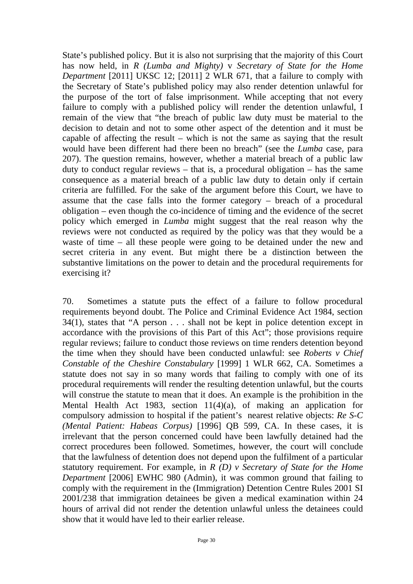State's published policy. But it is also not surprising that the majority of this Court has now held, in *R (Lumba and Mighty)* v *Secretary of State for the Home Department* [2011] UKSC 12; [2011] 2 WLR 671, that a failure to comply with the Secretary of State's published policy may also render detention unlawful for the purpose of the tort of false imprisonment. While accepting that not every failure to comply with a published policy will render the detention unlawful, I remain of the view that "the breach of public law duty must be material to the decision to detain and not to some other aspect of the detention and it must be capable of affecting the result – which is not the same as saying that the result would have been different had there been no breach" (see the *Lumba* case, para 207). The question remains, however, whether a material breach of a public law duty to conduct regular reviews – that is, a procedural obligation – has the same consequence as a material breach of a public law duty to detain only if certain criteria are fulfilled. For the sake of the argument before this Court, we have to assume that the case falls into the former category – breach of a procedural obligation – even though the co-incidence of timing and the evidence of the secret policy which emerged in *Lumba* might suggest that the real reason why the reviews were not conducted as required by the policy was that they would be a waste of time – all these people were going to be detained under the new and secret criteria in any event. But might there be a distinction between the substantive limitations on the power to detain and the procedural requirements for exercising it?

70. Sometimes a statute puts the effect of a failure to follow procedural requirements beyond doubt. The Police and Criminal Evidence Act 1984, section 34(1), states that "A person . . . shall not be kept in police detention except in accordance with the provisions of this Part of this Act"; those provisions require regular reviews; failure to conduct those reviews on time renders detention beyond the time when they should have been conducted unlawful: see *Roberts v Chief Constable of the Cheshire Constabulary* [1999] 1 WLR 662, CA. Sometimes a statute does not say in so many words that failing to comply with one of its procedural requirements will render the resulting detention unlawful, but the courts will construe the statute to mean that it does. An example is the prohibition in the Mental Health Act 1983, section 11(4)(a), of making an application for compulsory admission to hospital if the patient's nearest relative objects: *Re S-C (Mental Patient: Habeas Corpus)* [1996] QB 599, CA. In these cases, it is irrelevant that the person concerned could have been lawfully detained had the correct procedures been followed. Sometimes, however, the court will conclude that the lawfulness of detention does not depend upon the fulfilment of a particular statutory requirement. For example, in *R (D) v Secretary of State for the Home Department* [2006] EWHC 980 (Admin), it was common ground that failing to comply with the requirement in the (Immigration) Detention Centre Rules 2001 SI 2001/238 that immigration detainees be given a medical examination within 24 hours of arrival did not render the detention unlawful unless the detainees could show that it would have led to their earlier release.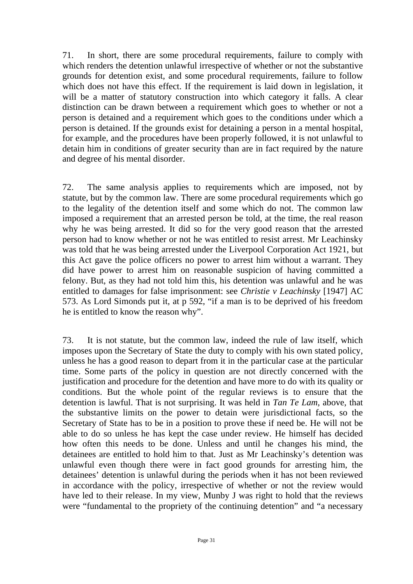71. In short, there are some procedural requirements, failure to comply with which renders the detention unlawful irrespective of whether or not the substantive grounds for detention exist, and some procedural requirements, failure to follow which does not have this effect. If the requirement is laid down in legislation, it will be a matter of statutory construction into which category it falls. A clear distinction can be drawn between a requirement which goes to whether or not a person is detained and a requirement which goes to the conditions under which a person is detained. If the grounds exist for detaining a person in a mental hospital, for example, and the procedures have been properly followed, it is not unlawful to detain him in conditions of greater security than are in fact required by the nature and degree of his mental disorder.

72. The same analysis applies to requirements which are imposed, not by statute, but by the common law. There are some procedural requirements which go to the legality of the detention itself and some which do not. The common law imposed a requirement that an arrested person be told, at the time, the real reason why he was being arrested. It did so for the very good reason that the arrested person had to know whether or not he was entitled to resist arrest. Mr Leachinsky was told that he was being arrested under the Liverpool Corporation Act 1921, but this Act gave the police officers no power to arrest him without a warrant. They did have power to arrest him on reasonable suspicion of having committed a felony. But, as they had not told him this, his detention was unlawful and he was entitled to damages for false imprisonment: see *Christie v Leachinsky* [1947] AC 573. As Lord Simonds put it, at p 592, "if a man is to be deprived of his freedom he is entitled to know the reason why".

73. It is not statute, but the common law, indeed the rule of law itself, which imposes upon the Secretary of State the duty to comply with his own stated policy, unless he has a good reason to depart from it in the particular case at the particular time. Some parts of the policy in question are not directly concerned with the justification and procedure for the detention and have more to do with its quality or conditions. But the whole point of the regular reviews is to ensure that the detention is lawful. That is not surprising. It was held in *Tan Te Lam*, above, that the substantive limits on the power to detain were jurisdictional facts, so the Secretary of State has to be in a position to prove these if need be. He will not be able to do so unless he has kept the case under review. He himself has decided how often this needs to be done. Unless and until he changes his mind, the detainees are entitled to hold him to that. Just as Mr Leachinsky's detention was unlawful even though there were in fact good grounds for arresting him, the detainees' detention is unlawful during the periods when it has not been reviewed in accordance with the policy, irrespective of whether or not the review would have led to their release. In my view, Munby J was right to hold that the reviews were "fundamental to the propriety of the continuing detention" and "a necessary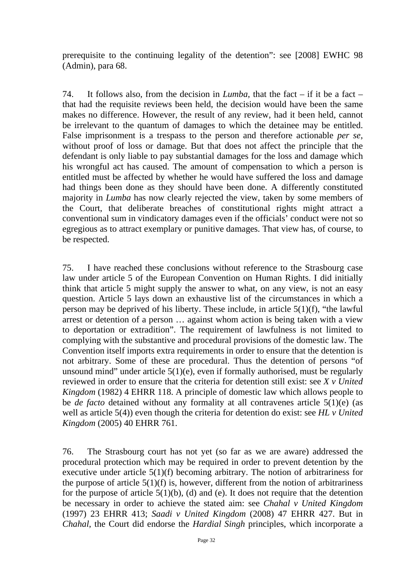prerequisite to the continuing legality of the detention": see [2008] EWHC 98 (Admin), para 68.

74. It follows also, from the decision in *Lumba*, that the fact – if it be a fact – that had the requisite reviews been held, the decision would have been the same makes no difference. However, the result of any review, had it been held, cannot be irrelevant to the quantum of damages to which the detainee may be entitled. False imprisonment is a trespass to the person and therefore actionable *per se*, without proof of loss or damage. But that does not affect the principle that the defendant is only liable to pay substantial damages for the loss and damage which his wrongful act has caused. The amount of compensation to which a person is entitled must be affected by whether he would have suffered the loss and damage had things been done as they should have been done. A differently constituted majority in *Lumba* has now clearly rejected the view, taken by some members of the Court, that deliberate breaches of constitutional rights might attract a conventional sum in vindicatory damages even if the officials' conduct were not so egregious as to attract exemplary or punitive damages. That view has, of course, to be respected.

75. I have reached these conclusions without reference to the Strasbourg case law under article 5 of the European Convention on Human Rights. I did initially think that article 5 might supply the answer to what, on any view, is not an easy question. Article 5 lays down an exhaustive list of the circumstances in which a person may be deprived of his liberty. These include, in article 5(1)(f), "the lawful arrest or detention of a person … against whom action is being taken with a view to deportation or extradition". The requirement of lawfulness is not limited to complying with the substantive and procedural provisions of the domestic law. The Convention itself imports extra requirements in order to ensure that the detention is not arbitrary. Some of these are procedural. Thus the detention of persons "of unsound mind" under article  $5(1)(e)$ , even if formally authorised, must be regularly reviewed in order to ensure that the criteria for detention still exist: see *X v United Kingdom* (1982) 4 EHRR 118. A principle of domestic law which allows people to be *de facto* detained without any formality at all contravenes article 5(1)(e) (as well as article 5(4)) even though the criteria for detention do exist: see *HL v United Kingdom* (2005) 40 EHRR 761.

76. The Strasbourg court has not yet (so far as we are aware) addressed the procedural protection which may be required in order to prevent detention by the executive under article 5(1)(f) becoming arbitrary. The notion of arbitrariness for the purpose of article  $5(1)(f)$  is, however, different from the notion of arbitrariness for the purpose of article  $5(1)(b)$ , (d) and (e). It does not require that the detention be necessary in order to achieve the stated aim: see *Chahal v United Kingdom*  (1997) 23 EHRR 413; *Saadi v United Kingdom* (2008) 47 EHRR 427. But in *Chahal*, the Court did endorse the *Hardial Singh* principles, which incorporate a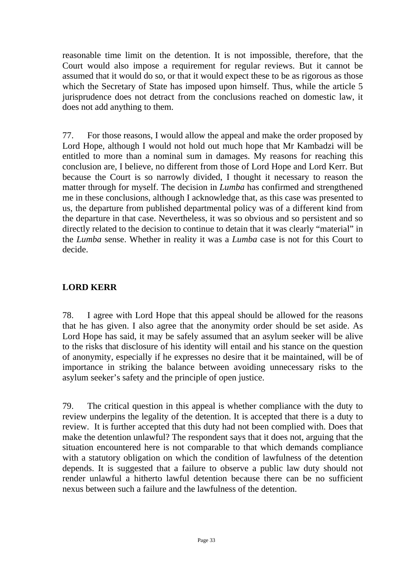reasonable time limit on the detention. It is not impossible, therefore, that the Court would also impose a requirement for regular reviews. But it cannot be assumed that it would do so, or that it would expect these to be as rigorous as those which the Secretary of State has imposed upon himself. Thus, while the article 5 jurisprudence does not detract from the conclusions reached on domestic law, it does not add anything to them.

77. For those reasons, I would allow the appeal and make the order proposed by Lord Hope, although I would not hold out much hope that Mr Kambadzi will be entitled to more than a nominal sum in damages. My reasons for reaching this conclusion are, I believe, no different from those of Lord Hope and Lord Kerr. But because the Court is so narrowly divided, I thought it necessary to reason the matter through for myself. The decision in *Lumba* has confirmed and strengthened me in these conclusions, although I acknowledge that, as this case was presented to us, the departure from published departmental policy was of a different kind from the departure in that case. Nevertheless, it was so obvious and so persistent and so directly related to the decision to continue to detain that it was clearly "material" in the *Lumba* sense. Whether in reality it was a *Lumba* case is not for this Court to decide.

# **LORD KERR**

78. I agree with Lord Hope that this appeal should be allowed for the reasons that he has given. I also agree that the anonymity order should be set aside. As Lord Hope has said, it may be safely assumed that an asylum seeker will be alive to the risks that disclosure of his identity will entail and his stance on the question of anonymity, especially if he expresses no desire that it be maintained, will be of importance in striking the balance between avoiding unnecessary risks to the asylum seeker's safety and the principle of open justice.

79. The critical question in this appeal is whether compliance with the duty to review underpins the legality of the detention. It is accepted that there is a duty to review. It is further accepted that this duty had not been complied with. Does that make the detention unlawful? The respondent says that it does not, arguing that the situation encountered here is not comparable to that which demands compliance with a statutory obligation on which the condition of lawfulness of the detention depends. It is suggested that a failure to observe a public law duty should not render unlawful a hitherto lawful detention because there can be no sufficient nexus between such a failure and the lawfulness of the detention.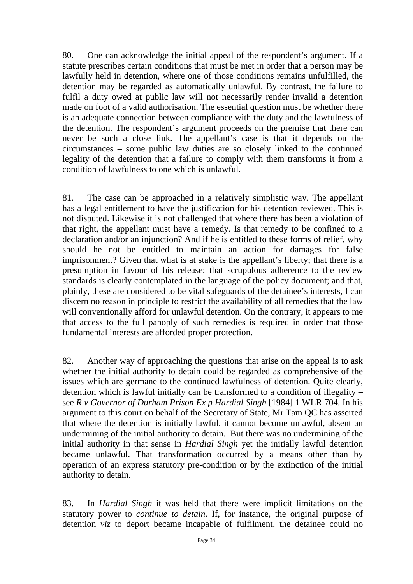80. One can acknowledge the initial appeal of the respondent's argument. If a statute prescribes certain conditions that must be met in order that a person may be lawfully held in detention, where one of those conditions remains unfulfilled, the detention may be regarded as automatically unlawful. By contrast, the failure to fulfil a duty owed at public law will not necessarily render invalid a detention made on foot of a valid authorisation. The essential question must be whether there is an adequate connection between compliance with the duty and the lawfulness of the detention. The respondent's argument proceeds on the premise that there can never be such a close link. The appellant's case is that it depends on the circumstances – some public law duties are so closely linked to the continued legality of the detention that a failure to comply with them transforms it from a condition of lawfulness to one which is unlawful.

81. The case can be approached in a relatively simplistic way. The appellant has a legal entitlement to have the justification for his detention reviewed. This is not disputed. Likewise it is not challenged that where there has been a violation of that right, the appellant must have a remedy. Is that remedy to be confined to a declaration and/or an injunction? And if he is entitled to these forms of relief, why should he not be entitled to maintain an action for damages for false imprisonment? Given that what is at stake is the appellant's liberty; that there is a presumption in favour of his release; that scrupulous adherence to the review standards is clearly contemplated in the language of the policy document; and that, plainly, these are considered to be vital safeguards of the detainee's interests, I can discern no reason in principle to restrict the availability of all remedies that the law will conventionally afford for unlawful detention. On the contrary, it appears to me that access to the full panoply of such remedies is required in order that those fundamental interests are afforded proper protection.

82. Another way of approaching the questions that arise on the appeal is to ask whether the initial authority to detain could be regarded as comprehensive of the issues which are germane to the continued lawfulness of detention. Quite clearly, detention which is lawful initially can be transformed to a condition of illegality – see *R v Governor of Durham Prison Ex p Hardial Singh* [1984] 1 WLR 704*.* In his argument to this court on behalf of the Secretary of State, Mr Tam QC has asserted that where the detention is initially lawful, it cannot become unlawful, absent an undermining of the initial authority to detain. But there was no undermining of the initial authority in that sense in *Hardial Singh* yet the initially lawful detention became unlawful. That transformation occurred by a means other than by operation of an express statutory pre-condition or by the extinction of the initial authority to detain.

83. In *Hardial Singh* it was held that there were implicit limitations on the statutory power to *continue to detain*. If, for instance, the original purpose of detention *viz* to deport became incapable of fulfilment, the detainee could no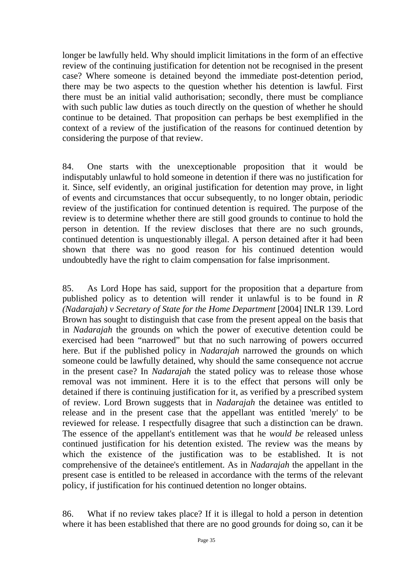longer be lawfully held. Why should implicit limitations in the form of an effective review of the continuing justification for detention not be recognised in the present case? Where someone is detained beyond the immediate post-detention period, there may be two aspects to the question whether his detention is lawful. First there must be an initial valid authorisation; secondly, there must be compliance with such public law duties as touch directly on the question of whether he should continue to be detained. That proposition can perhaps be best exemplified in the context of a review of the justification of the reasons for continued detention by considering the purpose of that review.

84. One starts with the unexceptionable proposition that it would be indisputably unlawful to hold someone in detention if there was no justification for it. Since, self evidently, an original justification for detention may prove, in light of events and circumstances that occur subsequently, to no longer obtain, periodic review of the justification for continued detention is required. The purpose of the review is to determine whether there are still good grounds to continue to hold the person in detention. If the review discloses that there are no such grounds, continued detention is unquestionably illegal. A person detained after it had been shown that there was no good reason for his continued detention would undoubtedly have the right to claim compensation for false imprisonment.

85. As Lord Hope has said, support for the proposition that a departure from published policy as to detention will render it unlawful is to be found in *R (Nadarajah) v Secretary of State for the Home Department* [2004] INLR 139. Lord Brown has sought to distinguish that case from the present appeal on the basis that in *Nadarajah* the grounds on which the power of executive detention could be exercised had been "narrowed" but that no such narrowing of powers occurred here. But if the published policy in *Nadarajah* narrowed the grounds on which someone could be lawfully detained, why should the same consequence not accrue in the present case? In *Nadarajah* the stated policy was to release those whose removal was not imminent. Here it is to the effect that persons will only be detained if there is continuing justification for it, as verified by a prescribed system of review. Lord Brown suggests that in *Nadarajah* the detainee was entitled to release and in the present case that the appellant was entitled 'merely' to be reviewed for release. I respectfully disagree that such a distinction can be drawn. The essence of the appellant's entitlement was that he *would be* released unless continued justification for his detention existed. The review was the means by which the existence of the justification was to be established. It is not comprehensive of the detainee's entitlement. As in *Nadarajah* the appellant in the present case is entitled to be released in accordance with the terms of the relevant policy, if justification for his continued detention no longer obtains.

86. What if no review takes place? If it is illegal to hold a person in detention where it has been established that there are no good grounds for doing so, can it be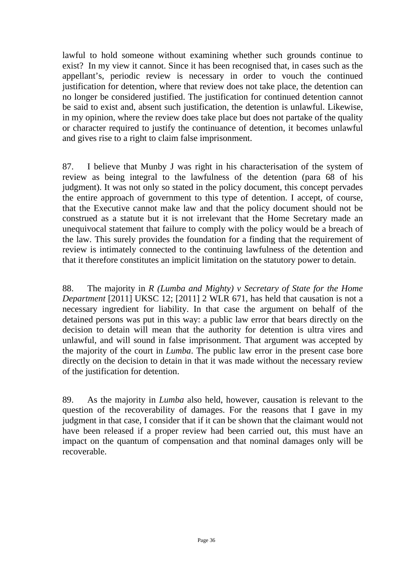lawful to hold someone without examining whether such grounds continue to exist? In my view it cannot. Since it has been recognised that, in cases such as the appellant's, periodic review is necessary in order to vouch the continued justification for detention, where that review does not take place, the detention can no longer be considered justified. The justification for continued detention cannot be said to exist and, absent such justification, the detention is unlawful. Likewise, in my opinion, where the review does take place but does not partake of the quality or character required to justify the continuance of detention, it becomes unlawful and gives rise to a right to claim false imprisonment.

87. I believe that Munby J was right in his characterisation of the system of review as being integral to the lawfulness of the detention (para 68 of his judgment). It was not only so stated in the policy document, this concept pervades the entire approach of government to this type of detention. I accept, of course, that the Executive cannot make law and that the policy document should not be construed as a statute but it is not irrelevant that the Home Secretary made an unequivocal statement that failure to comply with the policy would be a breach of the law. This surely provides the foundation for a finding that the requirement of review is intimately connected to the continuing lawfulness of the detention and that it therefore constitutes an implicit limitation on the statutory power to detain.

88. The majority in *R (Lumba and Mighty) v Secretary of State for the Home Department* [2011] UKSC 12; [2011] 2 WLR 671, has held that causation is not a necessary ingredient for liability. In that case the argument on behalf of the detained persons was put in this way: a public law error that bears directly on the decision to detain will mean that the authority for detention is ultra vires and unlawful, and will sound in false imprisonment. That argument was accepted by the majority of the court in *Lumba*. The public law error in the present case bore directly on the decision to detain in that it was made without the necessary review of the justification for detention.

89. As the majority in *Lumba* also held, however, causation is relevant to the question of the recoverability of damages. For the reasons that I gave in my judgment in that case, I consider that if it can be shown that the claimant would not have been released if a proper review had been carried out, this must have an impact on the quantum of compensation and that nominal damages only will be recoverable.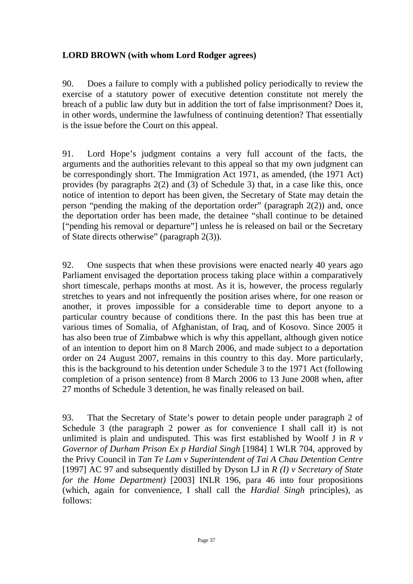# **LORD BROWN (with whom Lord Rodger agrees)**

90. Does a failure to comply with a published policy periodically to review the exercise of a statutory power of executive detention constitute not merely the breach of a public law duty but in addition the tort of false imprisonment? Does it, in other words, undermine the lawfulness of continuing detention? That essentially is the issue before the Court on this appeal.

91. Lord Hope's judgment contains a very full account of the facts, the arguments and the authorities relevant to this appeal so that my own judgment can be correspondingly short. The Immigration Act 1971, as amended, (the 1971 Act) provides (by paragraphs 2(2) and (3) of Schedule 3) that, in a case like this, once notice of intention to deport has been given, the Secretary of State may detain the person "pending the making of the deportation order" (paragraph 2(2)) and, once the deportation order has been made, the detainee "shall continue to be detained ["pending his removal or departure"] unless he is released on bail or the Secretary of State directs otherwise" (paragraph 2(3)).

92. One suspects that when these provisions were enacted nearly 40 years ago Parliament envisaged the deportation process taking place within a comparatively short timescale, perhaps months at most. As it is, however, the process regularly stretches to years and not infrequently the position arises where, for one reason or another, it proves impossible for a considerable time to deport anyone to a particular country because of conditions there. In the past this has been true at various times of Somalia, of Afghanistan, of Iraq, and of Kosovo. Since 2005 it has also been true of Zimbabwe which is why this appellant, although given notice of an intention to deport him on 8 March 2006, and made subject to a deportation order on 24 August 2007, remains in this country to this day. More particularly, this is the background to his detention under Schedule 3 to the 1971 Act (following completion of a prison sentence) from 8 March 2006 to 13 June 2008 when, after 27 months of Schedule 3 detention, he was finally released on bail.

93. That the Secretary of State's power to detain people under paragraph 2 of Schedule 3 (the paragraph 2 power as for convenience I shall call it) is not unlimited is plain and undisputed. This was first established by Woolf J in *R v Governor of Durham Prison Ex p Hardial Singh* [1984] 1 WLR 704, approved by the Privy Council in *Tan Te Lam v Superintendent of Tai A Chau Detention Centre*  [1997] AC 97 and subsequently distilled by Dyson LJ in *R (I) v Secretary of State for the Home Department)* [2003] INLR 196, para 46 into four propositions (which, again for convenience, I shall call the *Hardial Singh* principles), as follows: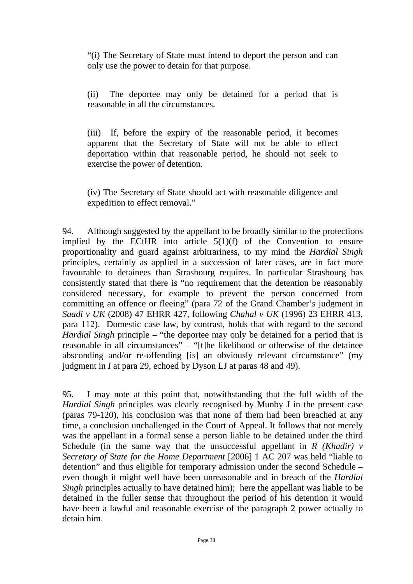"(i) The Secretary of State must intend to deport the person and can only use the power to detain for that purpose.

(ii) The deportee may only be detained for a period that is reasonable in all the circumstances.

(iii) If, before the expiry of the reasonable period, it becomes apparent that the Secretary of State will not be able to effect deportation within that reasonable period, he should not seek to exercise the power of detention.

(iv) The Secretary of State should act with reasonable diligence and expedition to effect removal."

94. Although suggested by the appellant to be broadly similar to the protections implied by the ECtHR into article  $5(1)(f)$  of the Convention to ensure proportionality and guard against arbitrariness, to my mind the *Hardial Singh* principles, certainly as applied in a succession of later cases, are in fact more favourable to detainees than Strasbourg requires. In particular Strasbourg has consistently stated that there is "no requirement that the detention be reasonably considered necessary, for example to prevent the person concerned from committing an offence or fleeing" (para 72 of the Grand Chamber's judgment in *Saadi v UK* (2008) 47 EHRR 427, following *Chahal v UK* (1996) 23 EHRR 413, para 112). Domestic case law, by contrast, holds that with regard to the second *Hardial Singh* principle – "the deportee may only be detained for a period that is reasonable in all circumstances" – "[t]he likelihood or otherwise of the detainee absconding and/or re-offending [is] an obviously relevant circumstance" (my iudgment in *I* at para 29, echoed by Dyson LJ at paras 48 and 49).

95. I may note at this point that, notwithstanding that the full width of the *Hardial Singh* principles was clearly recognised by Munby J in the present case (paras 79-120), his conclusion was that none of them had been breached at any time, a conclusion unchallenged in the Court of Appeal. It follows that not merely was the appellant in a formal sense a person liable to be detained under the third Schedule (in the same way that the unsuccessful appellant in *R (Khadir) v Secretary of State for the Home Department* [2006] 1 AC 207 was held "liable to detention" and thus eligible for temporary admission under the second Schedule – even though it might well have been unreasonable and in breach of the *Hardial Singh* principles actually to have detained him); here the appellant was liable to be detained in the fuller sense that throughout the period of his detention it would have been a lawful and reasonable exercise of the paragraph 2 power actually to detain him.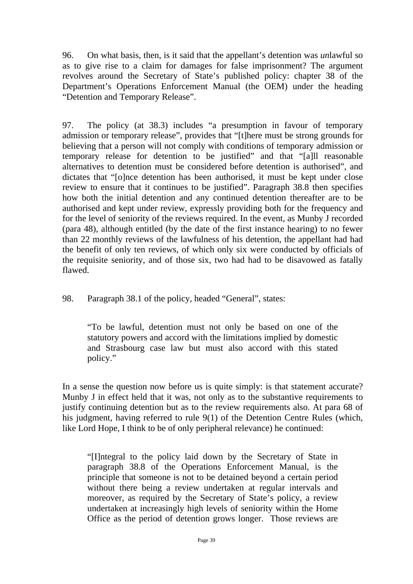96. On what basis, then, is it said that the appellant's detention was *un*lawful so as to give rise to a claim for damages for false imprisonment? The argument revolves around the Secretary of State's published policy: chapter 38 of the Department's Operations Enforcement Manual (the OEM) under the heading "Detention and Temporary Release".

97. The policy (at 38.3) includes "a presumption in favour of temporary admission or temporary release", provides that "[t]here must be strong grounds for believing that a person will not comply with conditions of temporary admission or temporary release for detention to be justified" and that "[a]ll reasonable alternatives to detention must be considered before detention is authorised", and dictates that "[o]nce detention has been authorised, it must be kept under close review to ensure that it continues to be justified". Paragraph 38.8 then specifies how both the initial detention and any continued detention thereafter are to be authorised and kept under review, expressly providing both for the frequency and for the level of seniority of the reviews required. In the event, as Munby J recorded (para 48), although entitled (by the date of the first instance hearing) to no fewer than 22 monthly reviews of the lawfulness of his detention, the appellant had had the benefit of only ten reviews, of which only six were conducted by officials of the requisite seniority, and of those six, two had had to be disavowed as fatally flawed.

98. Paragraph 38.1 of the policy, headed "General", states:

"To be lawful, detention must not only be based on one of the statutory powers and accord with the limitations implied by domestic and Strasbourg case law but must also accord with this stated policy."

In a sense the question now before us is quite simply: is that statement accurate? Munby J in effect held that it was, not only as to the substantive requirements to justify continuing detention but as to the review requirements also. At para 68 of his judgment, having referred to rule 9(1) of the Detention Centre Rules (which, like Lord Hope, I think to be of only peripheral relevance) he continued:

"[I]ntegral to the policy laid down by the Secretary of State in paragraph 38.8 of the Operations Enforcement Manual, is the principle that someone is not to be detained beyond a certain period without there being a review undertaken at regular intervals and moreover, as required by the Secretary of State's policy, a review undertaken at increasingly high levels of seniority within the Home Office as the period of detention grows longer. Those reviews are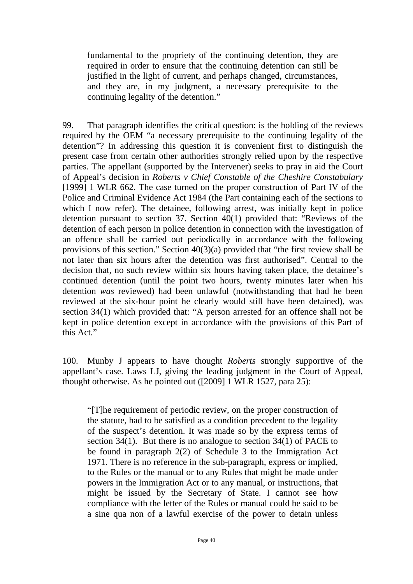fundamental to the propriety of the continuing detention, they are required in order to ensure that the continuing detention can still be justified in the light of current, and perhaps changed, circumstances, and they are, in my judgment, a necessary prerequisite to the continuing legality of the detention."

99. That paragraph identifies the critical question: is the holding of the reviews required by the OEM "a necessary prerequisite to the continuing legality of the detention"? In addressing this question it is convenient first to distinguish the present case from certain other authorities strongly relied upon by the respective parties. The appellant (supported by the Intervener) seeks to pray in aid the Court of Appeal's decision in *Roberts v Chief Constable of the Cheshire Constabulary* [1999] 1 WLR 662. The case turned on the proper construction of Part IV of the Police and Criminal Evidence Act 1984 (the Part containing each of the sections to which I now refer). The detainee, following arrest, was initially kept in police detention pursuant to section 37. Section 40(1) provided that: "Reviews of the detention of each person in police detention in connection with the investigation of an offence shall be carried out periodically in accordance with the following provisions of this section." Section 40(3)(a) provided that "the first review shall be not later than six hours after the detention was first authorised". Central to the decision that, no such review within six hours having taken place, the detainee's continued detention (until the point two hours, twenty minutes later when his detention *was* reviewed) had been unlawful (notwithstanding that had he been reviewed at the six-hour point he clearly would still have been detained), was section 34(1) which provided that: "A person arrested for an offence shall not be kept in police detention except in accordance with the provisions of this Part of this Act."

100. Munby J appears to have thought *Roberts* strongly supportive of the appellant's case. Laws LJ, giving the leading judgment in the Court of Appeal, thought otherwise. As he pointed out ([2009] 1 WLR 1527, para 25):

"[T]he requirement of periodic review, on the proper construction of the statute, had to be satisfied as a condition precedent to the legality of the suspect's detention. It was made so by the express terms of section 34(1). But there is no analogue to section 34(1) of PACE to be found in paragraph 2(2) of Schedule 3 to the Immigration Act 1971. There is no reference in the sub-paragraph, express or implied, to the Rules or the manual or to any Rules that might be made under powers in the Immigration Act or to any manual, or instructions, that might be issued by the Secretary of State. I cannot see how compliance with the letter of the Rules or manual could be said to be a sine qua non of a lawful exercise of the power to detain unless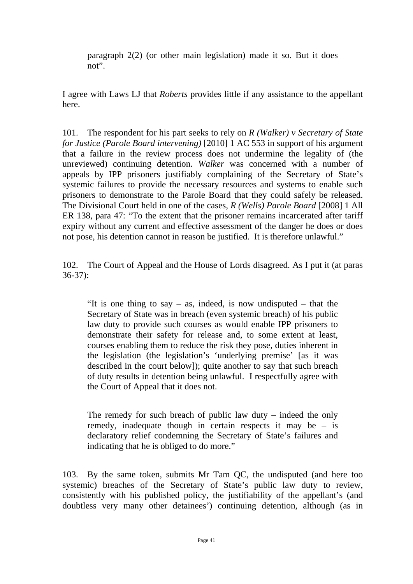paragraph 2(2) (or other main legislation) made it so. But it does not".

I agree with Laws LJ that *Roberts* provides little if any assistance to the appellant here.

101. The respondent for his part seeks to rely on *R (Walker) v Secretary of State for Justice (Parole Board intervening)* [2010] 1 AC 553 in support of his argument that a failure in the review process does not undermine the legality of (the unreviewed) continuing detention. *Walker* was concerned with a number of appeals by IPP prisoners justifiably complaining of the Secretary of State's systemic failures to provide the necessary resources and systems to enable such prisoners to demonstrate to the Parole Board that they could safely be released. The Divisional Court held in one of the cases, *R (Wells) Parole Board* [2008] 1 All ER 138, para 47: "To the extent that the prisoner remains incarcerated after tariff expiry without any current and effective assessment of the danger he does or does not pose, his detention cannot in reason be justified. It is therefore unlawful."

102. The Court of Appeal and the House of Lords disagreed. As I put it (at paras 36-37):

"It is one thing to say – as, indeed, is now undisputed – that the Secretary of State was in breach (even systemic breach) of his public law duty to provide such courses as would enable IPP prisoners to demonstrate their safety for release and, to some extent at least, courses enabling them to reduce the risk they pose, duties inherent in the legislation (the legislation's 'underlying premise' [as it was described in the court below]); quite another to say that such breach of duty results in detention being unlawful. I respectfully agree with the Court of Appeal that it does not.

The remedy for such breach of public law duty – indeed the only remedy, inadequate though in certain respects it may be – is declaratory relief condemning the Secretary of State's failures and indicating that he is obliged to do more."

103. By the same token, submits Mr Tam QC, the undisputed (and here too systemic) breaches of the Secretary of State's public law duty to review, consistently with his published policy, the justifiability of the appellant's (and doubtless very many other detainees') continuing detention, although (as in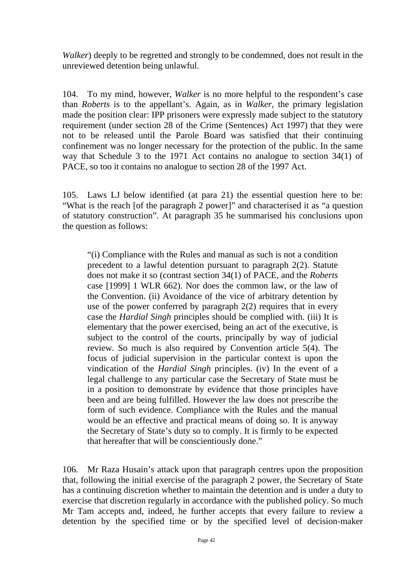*Walker*) deeply to be regretted and strongly to be condemned, does not result in the unreviewed detention being unlawful.

104. To my mind, however, *Walker* is no more helpful to the respondent's case than *Roberts* is to the appellant's. Again, as in *Walker*, the primary legislation made the position clear: IPP prisoners were expressly made subject to the statutory requirement (under section 28 of the Crime (Sentences) Act 1997) that they were not to be released until the Parole Board was satisfied that their continuing confinement was no longer necessary for the protection of the public. In the same way that Schedule 3 to the 1971 Act contains no analogue to section 34(1) of PACE, so too it contains no analogue to section 28 of the 1997 Act.

105. Laws LJ below identified (at para 21) the essential question here to be: "What is the reach [of the paragraph 2 power]" and characterised it as "a question of statutory construction". At paragraph 35 he summarised his conclusions upon the question as follows:

"(i) Compliance with the Rules and manual as such is not a condition precedent to a lawful detention pursuant to paragraph 2(2). Statute does not make it so (contrast section 34(1) of PACE, and the *Roberts* case [1999] 1 WLR 662). Nor does the common law, or the law of the Convention. (ii) Avoidance of the vice of arbitrary detention by use of the power conferred by paragraph 2(2) requires that in every case the *Hardial Singh* principles should be complied with. (iii) It is elementary that the power exercised, being an act of the executive, is subject to the control of the courts, principally by way of judicial review. So much is also required by Convention article 5(4). The focus of judicial supervision in the particular context is upon the vindication of the *Hardial Singh* principles. (iv) In the event of a legal challenge to any particular case the Secretary of State must be in a position to demonstrate by evidence that those principles have been and are being fulfilled. However the law does not prescribe the form of such evidence. Compliance with the Rules and the manual would be an effective and practical means of doing so. It is anyway the Secretary of State's duty so to comply. It is firmly to be expected that hereafter that will be conscientiously done."

106. Mr Raza Husain's attack upon that paragraph centres upon the proposition that, following the initial exercise of the paragraph 2 power, the Secretary of State has a continuing discretion whether to maintain the detention and is under a duty to exercise that discretion regularly in accordance with the published policy. So much Mr Tam accepts and, indeed, he further accepts that every failure to review a detention by the specified time or by the specified level of decision-maker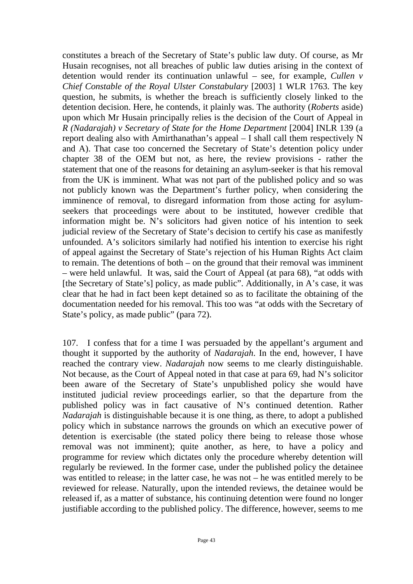constitutes a breach of the Secretary of State's public law duty. Of course, as Mr Husain recognises, not all breaches of public law duties arising in the context of detention would render its continuation unlawful – see, for example, *Cullen v Chief Constable of the Royal Ulster Constabulary* [2003] 1 WLR 1763. The key question, he submits, is whether the breach is sufficiently closely linked to the detention decision. Here, he contends, it plainly was. The authority (*Roberts* aside) upon which Mr Husain principally relies is the decision of the Court of Appeal in *R (Nadarajah) v Secretary of State for the Home Department* [2004] INLR 139 (a report dealing also with Amirthanathan's appeal – I shall call them respectively N and A). That case too concerned the Secretary of State's detention policy under chapter 38 of the OEM but not, as here, the review provisions - rather the statement that one of the reasons for detaining an asylum-seeker is that his removal from the UK is imminent. What was not part of the published policy and so was not publicly known was the Department's further policy, when considering the imminence of removal, to disregard information from those acting for asylumseekers that proceedings were about to be instituted, however credible that information might be. N's solicitors had given notice of his intention to seek judicial review of the Secretary of State's decision to certify his case as manifestly unfounded. A's solicitors similarly had notified his intention to exercise his right of appeal against the Secretary of State's rejection of his Human Rights Act claim to remain. The detentions of both – on the ground that their removal was imminent – were held unlawful. It was, said the Court of Appeal (at para 68), "at odds with [the Secretary of State's] policy, as made public". Additionally, in A's case, it was clear that he had in fact been kept detained so as to facilitate the obtaining of the documentation needed for his removal. This too was "at odds with the Secretary of State's policy, as made public" (para 72).

107. I confess that for a time I was persuaded by the appellant's argument and thought it supported by the authority of *Nadarajah*. In the end, however, I have reached the contrary view. *Nadarajah* now seems to me clearly distinguishable. Not because, as the Court of Appeal noted in that case at para 69, had N's solicitor been aware of the Secretary of State's unpublished policy she would have instituted judicial review proceedings earlier, so that the departure from the published policy was in fact causative of N's continued detention. Rather *Nadarajah* is distinguishable because it is one thing, as there, to adopt a published policy which in substance narrows the grounds on which an executive power of detention is exercisable (the stated policy there being to release those whose removal was not imminent); quite another, as here, to have a policy and programme for review which dictates only the procedure whereby detention will regularly be reviewed. In the former case, under the published policy the detainee was entitled to release; in the latter case, he was not – he was entitled merely to be reviewed for release. Naturally, upon the intended reviews, the detainee would be released if, as a matter of substance, his continuing detention were found no longer justifiable according to the published policy. The difference, however, seems to me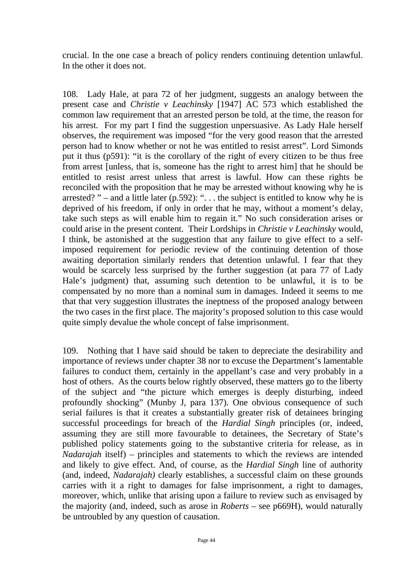crucial. In the one case a breach of policy renders continuing detention unlawful. In the other it does not.

108. Lady Hale, at para 72 of her judgment, suggests an analogy between the present case and *Christie v Leachinsky* [1947] AC 573 which established the common law requirement that an arrested person be told, at the time, the reason for his arrest. For my part I find the suggestion unpersuasive. As Lady Hale herself observes, the requirement was imposed "for the very good reason that the arrested person had to know whether or not he was entitled to resist arrest". Lord Simonds put it thus (p591): "it is the corollary of the right of every citizen to be thus free from arrest [unless, that is, someone has the right to arrest him] that he should be entitled to resist arrest unless that arrest is lawful. How can these rights be reconciled with the proposition that he may be arrested without knowing why he is arrested? " – and a little later (p.592): "... the subject is entitled to know why he is deprived of his freedom, if only in order that he may, without a moment's delay, take such steps as will enable him to regain it." No such consideration arises or could arise in the present content. Their Lordships in *Christie v Leachinsky* would, I think, be astonished at the suggestion that any failure to give effect to a selfimposed requirement for periodic review of the continuing detention of those awaiting deportation similarly renders that detention unlawful. I fear that they would be scarcely less surprised by the further suggestion (at para 77 of Lady Hale's judgment) that, assuming such detention to be unlawful, it is to be compensated by no more than a nominal sum in damages. Indeed it seems to me that that very suggestion illustrates the ineptness of the proposed analogy between the two cases in the first place. The majority's proposed solution to this case would quite simply devalue the whole concept of false imprisonment.

109. Nothing that I have said should be taken to depreciate the desirability and importance of reviews under chapter 38 nor to excuse the Department's lamentable failures to conduct them, certainly in the appellant's case and very probably in a host of others. As the courts below rightly observed, these matters go to the liberty of the subject and "the picture which emerges is deeply disturbing, indeed profoundly shocking" (Munby J, para 137). One obvious consequence of such serial failures is that it creates a substantially greater risk of detainees bringing successful proceedings for breach of the *Hardial Singh* principles (or, indeed, assuming they are still more favourable to detainees, the Secretary of State's published policy statements going to the substantive criteria for release, as in *Nadarajah* itself) – principles and statements to which the reviews are intended and likely to give effect. And, of course, as the *Hardial Singh* line of authority (and, indeed, *Nadarajah)* clearly establishes, a successful claim on these grounds carries with it a right to damages for false imprisonment, a right to damages, moreover, which, unlike that arising upon a failure to review such as envisaged by the majority (and, indeed, such as arose in *Roberts* – see p669H), would naturally be untroubled by any question of causation.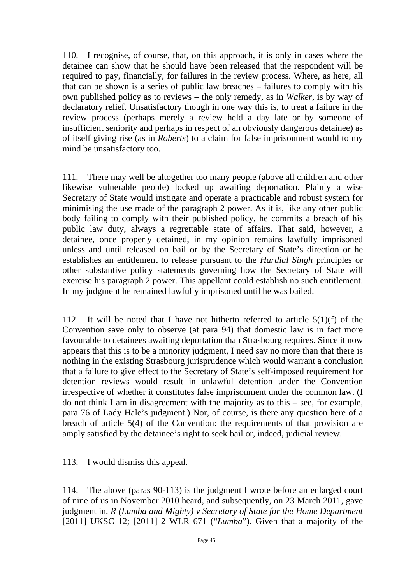110. I recognise, of course, that, on this approach, it is only in cases where the detainee can show that he should have been released that the respondent will be required to pay, financially, for failures in the review process. Where, as here, all that can be shown is a series of public law breaches – failures to comply with his own published policy as to reviews – the only remedy, as in *Walker*, is by way of declaratory relief. Unsatisfactory though in one way this is, to treat a failure in the review process (perhaps merely a review held a day late or by someone of insufficient seniority and perhaps in respect of an obviously dangerous detainee) as of itself giving rise (as in *Roberts*) to a claim for false imprisonment would to my mind be unsatisfactory too.

111. There may well be altogether too many people (above all children and other likewise vulnerable people) locked up awaiting deportation. Plainly a wise Secretary of State would instigate and operate a practicable and robust system for minimising the use made of the paragraph 2 power. As it is, like any other public body failing to comply with their published policy, he commits a breach of his public law duty, always a regrettable state of affairs. That said, however, a detainee, once properly detained, in my opinion remains lawfully imprisoned unless and until released on bail or by the Secretary of State's direction or he establishes an entitlement to release pursuant to the *Hardial Singh* principles or other substantive policy statements governing how the Secretary of State will exercise his paragraph 2 power. This appellant could establish no such entitlement. In my judgment he remained lawfully imprisoned until he was bailed.

112. It will be noted that I have not hitherto referred to article  $5(1)(f)$  of the Convention save only to observe (at para 94) that domestic law is in fact more favourable to detainees awaiting deportation than Strasbourg requires. Since it now appears that this is to be a minority judgment, I need say no more than that there is nothing in the existing Strasbourg jurisprudence which would warrant a conclusion that a failure to give effect to the Secretary of State's self-imposed requirement for detention reviews would result in unlawful detention under the Convention irrespective of whether it constitutes false imprisonment under the common law. (I do not think I am in disagreement with the majority as to this – see, for example, para 76 of Lady Hale's judgment.) Nor, of course, is there any question here of a breach of article 5(4) of the Convention: the requirements of that provision are amply satisfied by the detainee's right to seek bail or, indeed, judicial review.

113. I would dismiss this appeal.

114. The above (paras 90-113) is the judgment I wrote before an enlarged court of nine of us in November 2010 heard, and subsequently, on 23 March 2011, gave judgment in, *R (Lumba and Mighty) v Secretary of State for the Home Department* [2011] UKSC 12; [2011] 2 WLR 671 ("*Lumba*"). Given that a majority of the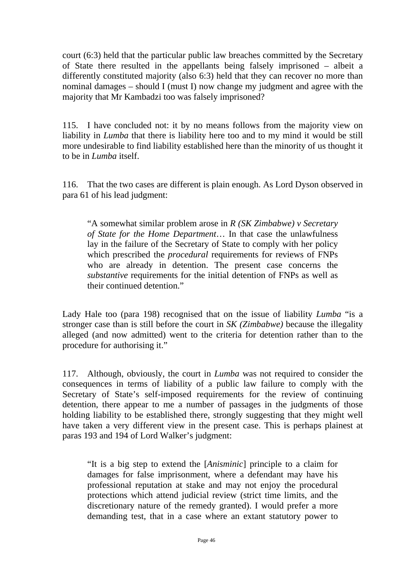court (6:3) held that the particular public law breaches committed by the Secretary of State there resulted in the appellants being falsely imprisoned – albeit a differently constituted majority (also 6:3) held that they can recover no more than nominal damages – should I (must I) now change my judgment and agree with the majority that Mr Kambadzi too was falsely imprisoned?

115. I have concluded not: it by no means follows from the majority view on liability in *Lumba* that there is liability here too and to my mind it would be still more undesirable to find liability established here than the minority of us thought it to be in *Lumba* itself.

116. That the two cases are different is plain enough. As Lord Dyson observed in para 61 of his lead judgment:

"A somewhat similar problem arose in *R (SK Zimbabwe) v Secretary of State for the Home Department*… In that case the unlawfulness lay in the failure of the Secretary of State to comply with her policy which prescribed the *procedural* requirements for reviews of FNPs who are already in detention. The present case concerns the *substantive* requirements for the initial detention of FNPs as well as their continued detention."

Lady Hale too (para 198) recognised that on the issue of liability *Lumba* "is a stronger case than is still before the court in *SK (Zimbabwe)* because the illegality alleged (and now admitted) went to the criteria for detention rather than to the procedure for authorising it."

117. Although, obviously, the court in *Lumba* was not required to consider the consequences in terms of liability of a public law failure to comply with the Secretary of State's self-imposed requirements for the review of continuing detention, there appear to me a number of passages in the judgments of those holding liability to be established there, strongly suggesting that they might well have taken a very different view in the present case. This is perhaps plainest at paras 193 and 194 of Lord Walker's judgment:

"It is a big step to extend the [*Anisminic*] principle to a claim for damages for false imprisonment, where a defendant may have his professional reputation at stake and may not enjoy the procedural protections which attend judicial review (strict time limits, and the discretionary nature of the remedy granted). I would prefer a more demanding test, that in a case where an extant statutory power to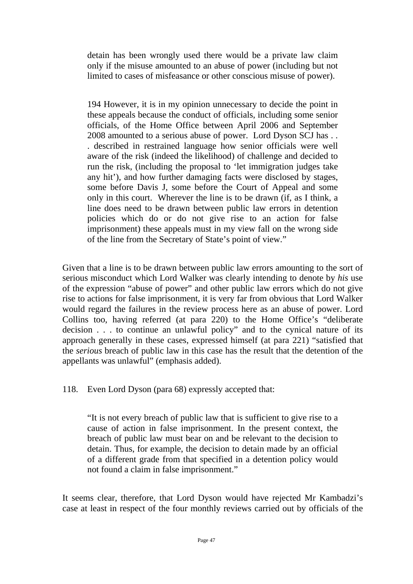detain has been wrongly used there would be a private law claim only if the misuse amounted to an abuse of power (including but not limited to cases of misfeasance or other conscious misuse of power).

194 However, it is in my opinion unnecessary to decide the point in these appeals because the conduct of officials, including some senior officials, of the Home Office between April 2006 and September 2008 amounted to a serious abuse of power. Lord Dyson SCJ has . . . described in restrained language how senior officials were well aware of the risk (indeed the likelihood) of challenge and decided to run the risk, (including the proposal to 'let immigration judges take any hit'), and how further damaging facts were disclosed by stages, some before Davis J, some before the Court of Appeal and some only in this court. Wherever the line is to be drawn (if, as I think, a line does need to be drawn between public law errors in detention policies which do or do not give rise to an action for false imprisonment) these appeals must in my view fall on the wrong side of the line from the Secretary of State's point of view."

Given that a line is to be drawn between public law errors amounting to the sort of serious misconduct which Lord Walker was clearly intending to denote by *his* use of the expression "abuse of power" and other public law errors which do not give rise to actions for false imprisonment, it is very far from obvious that Lord Walker would regard the failures in the review process here as an abuse of power. Lord Collins too, having referred (at para 220) to the Home Office's "deliberate decision . . . to continue an unlawful policy" and to the cynical nature of its approach generally in these cases, expressed himself (at para 221) "satisfied that the *serious* breach of public law in this case has the result that the detention of the appellants was unlawful" (emphasis added).

118. Even Lord Dyson (para 68) expressly accepted that:

"It is not every breach of public law that is sufficient to give rise to a cause of action in false imprisonment. In the present context, the breach of public law must bear on and be relevant to the decision to detain. Thus, for example, the decision to detain made by an official of a different grade from that specified in a detention policy would not found a claim in false imprisonment."

It seems clear, therefore, that Lord Dyson would have rejected Mr Kambadzi's case at least in respect of the four monthly reviews carried out by officials of the